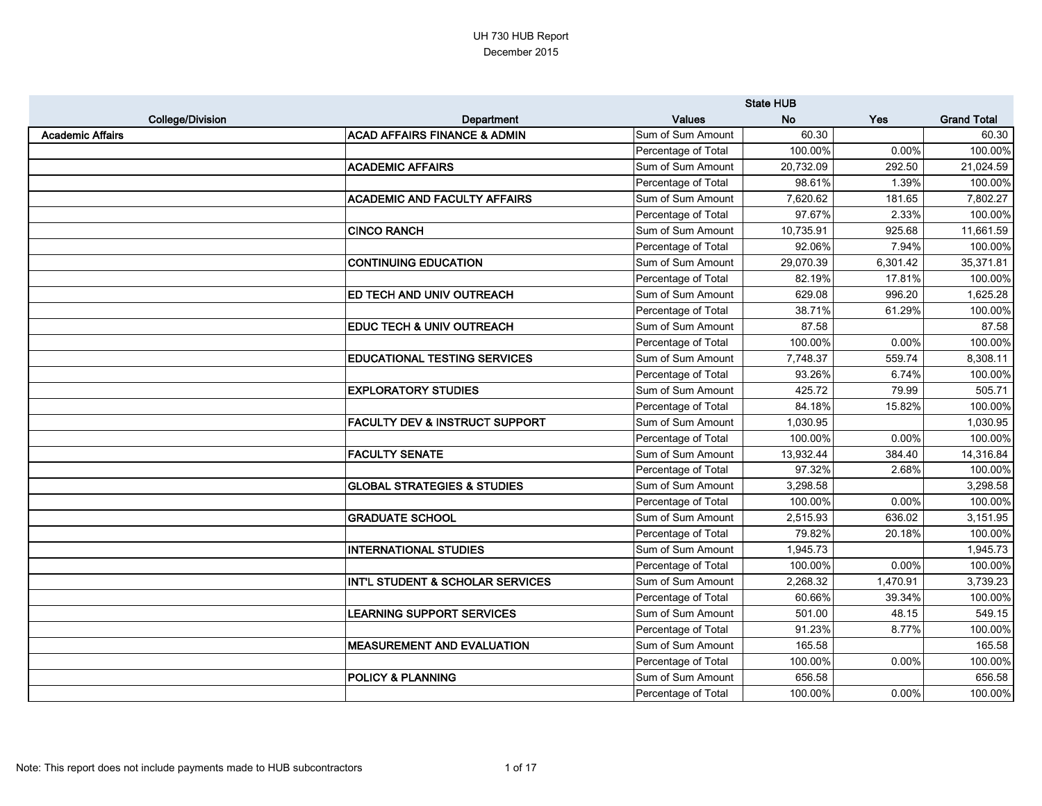|                         |                                           | <b>State HUB</b>    |           |          |                    |
|-------------------------|-------------------------------------------|---------------------|-----------|----------|--------------------|
| <b>College/Division</b> | Department                                | <b>Values</b>       | <b>No</b> | Yes      | <b>Grand Total</b> |
| <b>Academic Affairs</b> | <b>ACAD AFFAIRS FINANCE &amp; ADMIN</b>   | Sum of Sum Amount   | 60.30     |          | 60.30              |
|                         |                                           | Percentage of Total | 100.00%   | 0.00%    | 100.00%            |
|                         | <b>ACADEMIC AFFAIRS</b>                   | Sum of Sum Amount   | 20,732.09 | 292.50   | 21,024.59          |
|                         |                                           | Percentage of Total | 98.61%    | 1.39%    | 100.00%            |
|                         | <b>ACADEMIC AND FACULTY AFFAIRS</b>       | Sum of Sum Amount   | 7,620.62  | 181.65   | 7,802.27           |
|                         |                                           | Percentage of Total | 97.67%    | 2.33%    | 100.00%            |
|                         | <b>CINCO RANCH</b>                        | Sum of Sum Amount   | 10,735.91 | 925.68   | 11,661.59          |
|                         |                                           | Percentage of Total | 92.06%    | 7.94%    | 100.00%            |
|                         | <b>CONTINUING EDUCATION</b>               | Sum of Sum Amount   | 29,070.39 | 6,301.42 | 35,371.81          |
|                         |                                           | Percentage of Total | 82.19%    | 17.81%   | 100.00%            |
|                         | <b>ED TECH AND UNIV OUTREACH</b>          | Sum of Sum Amount   | 629.08    | 996.20   | 1,625.28           |
|                         |                                           | Percentage of Total | 38.71%    | 61.29%   | 100.00%            |
|                         | <b>EDUC TECH &amp; UNIV OUTREACH</b>      | Sum of Sum Amount   | 87.58     |          | 87.58              |
|                         |                                           | Percentage of Total | 100.00%   | 0.00%    | 100.00%            |
|                         | <b>EDUCATIONAL TESTING SERVICES</b>       | Sum of Sum Amount   | 7,748.37  | 559.74   | 8,308.11           |
|                         |                                           | Percentage of Total | 93.26%    | 6.74%    | 100.00%            |
|                         | <b>EXPLORATORY STUDIES</b>                | Sum of Sum Amount   | 425.72    | 79.99    | 505.71             |
|                         |                                           | Percentage of Total | 84.18%    | 15.82%   | 100.00%            |
|                         | <b>FACULTY DEV &amp; INSTRUCT SUPPORT</b> | Sum of Sum Amount   | 1,030.95  |          | 1,030.95           |
|                         |                                           | Percentage of Total | 100.00%   | 0.00%    | 100.00%            |
|                         | <b>FACULTY SENATE</b>                     | Sum of Sum Amount   | 13,932.44 | 384.40   | 14,316.84          |
|                         |                                           | Percentage of Total | 97.32%    | 2.68%    | 100.00%            |
|                         | <b>GLOBAL STRATEGIES &amp; STUDIES</b>    | Sum of Sum Amount   | 3,298.58  |          | 3,298.58           |
|                         |                                           | Percentage of Total | 100.00%   | 0.00%    | 100.00%            |
|                         | <b>GRADUATE SCHOOL</b>                    | Sum of Sum Amount   | 2,515.93  | 636.02   | 3,151.95           |
|                         |                                           | Percentage of Total | 79.82%    | 20.18%   | 100.00%            |
|                         | <b>INTERNATIONAL STUDIES</b>              | Sum of Sum Amount   | 1,945.73  |          | 1,945.73           |
|                         |                                           | Percentage of Total | 100.00%   | $0.00\%$ | 100.00%            |
|                         | INT'L STUDENT & SCHOLAR SERVICES          | Sum of Sum Amount   | 2,268.32  | 1,470.91 | 3,739.23           |
|                         |                                           | Percentage of Total | 60.66%    | 39.34%   | 100.00%            |
|                         | <b>LEARNING SUPPORT SERVICES</b>          | Sum of Sum Amount   | 501.00    | 48.15    | 549.15             |
|                         |                                           | Percentage of Total | 91.23%    | 8.77%    | 100.00%            |
|                         | <b>MEASUREMENT AND EVALUATION</b>         | Sum of Sum Amount   | 165.58    |          | 165.58             |
|                         |                                           | Percentage of Total | 100.00%   | 0.00%    | 100.00%            |
|                         | <b>POLICY &amp; PLANNING</b>              | Sum of Sum Amount   | 656.58    |          | 656.58             |
|                         |                                           | Percentage of Total | 100.00%   | $0.00\%$ | 100.00%            |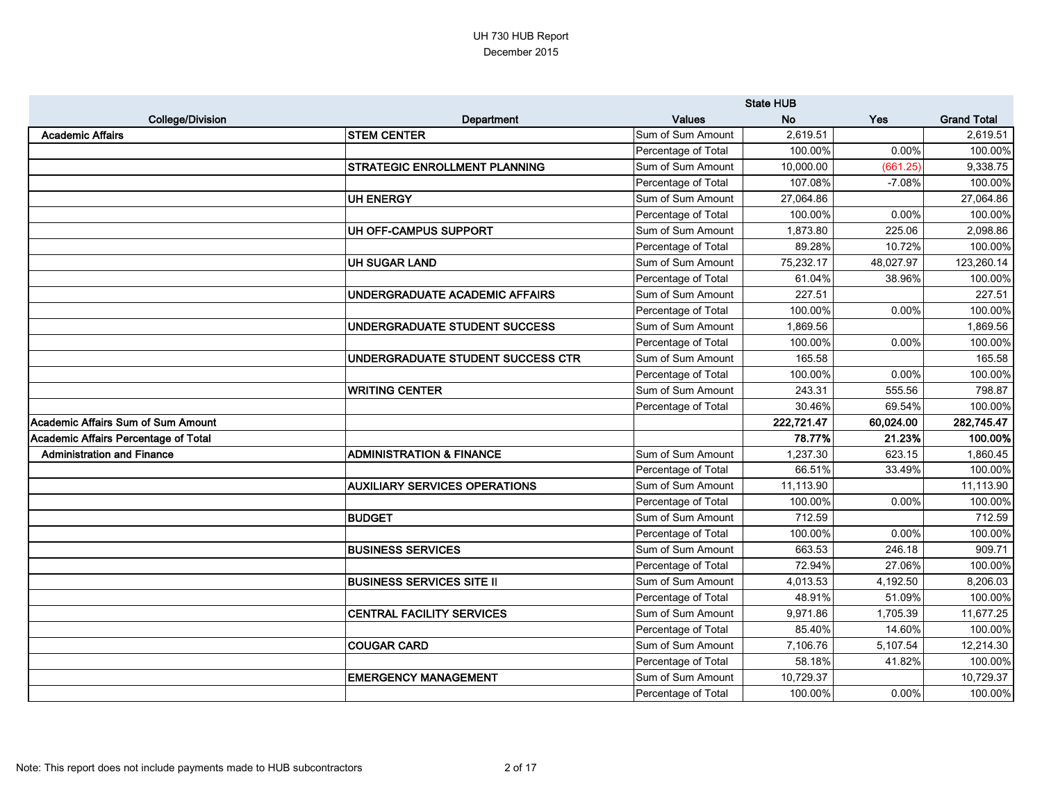|                                             |                                      |                     | <b>State HUB</b> |            |                    |
|---------------------------------------------|--------------------------------------|---------------------|------------------|------------|--------------------|
| <b>College/Division</b>                     | Department                           | <b>Values</b>       | <b>No</b>        | <b>Yes</b> | <b>Grand Total</b> |
| <b>Academic Affairs</b>                     | <b>STEM CENTER</b>                   | Sum of Sum Amount   | 2,619.51         |            | 2,619.51           |
|                                             |                                      | Percentage of Total | 100.00%          | 0.00%      | 100.00%            |
|                                             | <b>STRATEGIC ENROLLMENT PLANNING</b> | Sum of Sum Amount   | 10,000.00        | (661.25)   | 9,338.75           |
|                                             |                                      | Percentage of Total | 107.08%          | $-7.08%$   | 100.00%            |
|                                             | <b>UH ENERGY</b>                     | Sum of Sum Amount   | 27,064.86        |            | 27,064.86          |
|                                             |                                      | Percentage of Total | 100.00%          | 0.00%      | 100.00%            |
|                                             | UH OFF-CAMPUS SUPPORT                | Sum of Sum Amount   | 1,873.80         | 225.06     | 2,098.86           |
|                                             |                                      | Percentage of Total | 89.28%           | 10.72%     | 100.00%            |
|                                             | <b>UH SUGAR LAND</b>                 | Sum of Sum Amount   | 75,232.17        | 48,027.97  | 123,260.14         |
|                                             |                                      | Percentage of Total | 61.04%           | 38.96%     | 100.00%            |
|                                             | UNDERGRADUATE ACADEMIC AFFAIRS       | Sum of Sum Amount   | 227.51           |            | 227.51             |
|                                             |                                      | Percentage of Total | 100.00%          | 0.00%      | 100.00%            |
|                                             | UNDERGRADUATE STUDENT SUCCESS        | Sum of Sum Amount   | 1,869.56         |            | 1,869.56           |
|                                             |                                      | Percentage of Total | 100.00%          | 0.00%      | 100.00%            |
|                                             | UNDERGRADUATE STUDENT SUCCESS CTR    | Sum of Sum Amount   | 165.58           |            | 165.58             |
|                                             |                                      | Percentage of Total | 100.00%          | 0.00%      | 100.00%            |
|                                             | <b>WRITING CENTER</b>                | Sum of Sum Amount   | 243.31           | 555.56     | 798.87             |
|                                             |                                      | Percentage of Total | 30.46%           | 69.54%     | 100.00%            |
| <b>Academic Affairs Sum of Sum Amount</b>   |                                      |                     | 222,721.47       | 60,024.00  | 282,745.47         |
| <b>Academic Affairs Percentage of Total</b> |                                      |                     | 78.77%           | 21.23%     | 100.00%            |
| <b>Administration and Finance</b>           | <b>ADMINISTRATION &amp; FINANCE</b>  | Sum of Sum Amount   | 1,237.30         | 623.15     | 1,860.45           |
|                                             |                                      | Percentage of Total | 66.51%           | 33.49%     | 100.00%            |
|                                             | <b>AUXILIARY SERVICES OPERATIONS</b> | Sum of Sum Amount   | 11,113.90        |            | 11,113.90          |
|                                             |                                      | Percentage of Total | 100.00%          | 0.00%      | 100.00%            |
|                                             | <b>BUDGET</b>                        | Sum of Sum Amount   | 712.59           |            | 712.59             |
|                                             |                                      | Percentage of Total | 100.00%          | 0.00%      | 100.00%            |
|                                             | <b>BUSINESS SERVICES</b>             | Sum of Sum Amount   | 663.53           | 246.18     | 909.71             |
|                                             |                                      | Percentage of Total | 72.94%           | 27.06%     | 100.00%            |
|                                             | <b>BUSINESS SERVICES SITE II</b>     | Sum of Sum Amount   | 4,013.53         | 4,192.50   | 8,206.03           |
|                                             |                                      | Percentage of Total | 48.91%           | 51.09%     | 100.00%            |
|                                             | <b>CENTRAL FACILITY SERVICES</b>     | Sum of Sum Amount   | 9,971.86         | 1,705.39   | 11,677.25          |
|                                             |                                      | Percentage of Total | 85.40%           | 14.60%     | 100.00%            |
|                                             | <b>COUGAR CARD</b>                   | Sum of Sum Amount   | 7,106.76         | 5,107.54   | 12,214.30          |
|                                             |                                      | Percentage of Total | 58.18%           | 41.82%     | 100.00%            |
|                                             | <b>EMERGENCY MANAGEMENT</b>          | Sum of Sum Amount   | 10,729.37        |            | 10,729.37          |
|                                             |                                      | Percentage of Total | 100.00%          | 0.00%      | 100.00%            |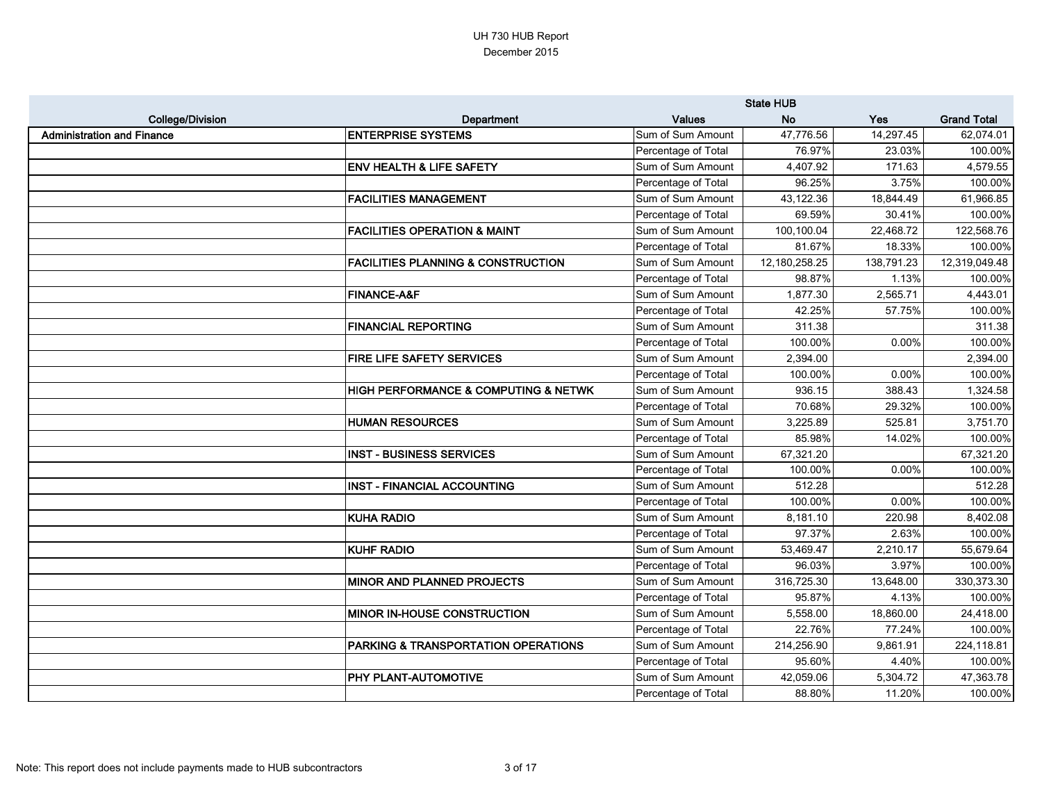|                                   |                                                     |                     | <b>State HUB</b> |            |                    |
|-----------------------------------|-----------------------------------------------------|---------------------|------------------|------------|--------------------|
| <b>College/Division</b>           | <b>Department</b>                                   | <b>Values</b>       | <b>No</b>        | <b>Yes</b> | <b>Grand Total</b> |
| <b>Administration and Finance</b> | <b>ENTERPRISE SYSTEMS</b>                           | Sum of Sum Amount   | 47,776.56        | 14,297.45  | 62,074.01          |
|                                   |                                                     | Percentage of Total | 76.97%           | 23.03%     | 100.00%            |
|                                   | <b>ENV HEALTH &amp; LIFE SAFETY</b>                 | Sum of Sum Amount   | 4,407.92         | 171.63     | 4,579.55           |
|                                   |                                                     | Percentage of Total | 96.25%           | 3.75%      | 100.00%            |
|                                   | <b>FACILITIES MANAGEMENT</b>                        | Sum of Sum Amount   | 43,122.36        | 18,844.49  | 61,966.85          |
|                                   |                                                     | Percentage of Total | 69.59%           | 30.41%     | 100.00%            |
|                                   | <b>FACILITIES OPERATION &amp; MAINT</b>             | Sum of Sum Amount   | 100,100.04       | 22,468.72  | 122,568.76         |
|                                   |                                                     | Percentage of Total | 81.67%           | 18.33%     | 100.00%            |
|                                   | <b>FACILITIES PLANNING &amp; CONSTRUCTION</b>       | Sum of Sum Amount   | 12,180,258.25    | 138,791.23 | 12,319,049.48      |
|                                   |                                                     | Percentage of Total | 98.87%           | 1.13%      | 100.00%            |
|                                   | <b>FINANCE-A&amp;F</b>                              | Sum of Sum Amount   | 1,877.30         | 2,565.71   | 4,443.01           |
|                                   |                                                     | Percentage of Total | 42.25%           | 57.75%     | 100.00%            |
|                                   | <b>FINANCIAL REPORTING</b>                          | Sum of Sum Amount   | 311.38           |            | 311.38             |
|                                   |                                                     | Percentage of Total | 100.00%          | 0.00%      | 100.00%            |
|                                   | <b>FIRE LIFE SAFETY SERVICES</b>                    | Sum of Sum Amount   | 2,394.00         |            | 2,394.00           |
|                                   |                                                     | Percentage of Total | 100.00%          | 0.00%      | 100.00%            |
|                                   | <b>HIGH PERFORMANCE &amp; COMPUTING &amp; NETWK</b> | Sum of Sum Amount   | 936.15           | 388.43     | 1,324.58           |
|                                   |                                                     | Percentage of Total | 70.68%           | 29.32%     | 100.00%            |
|                                   | <b>HUMAN RESOURCES</b>                              | Sum of Sum Amount   | 3,225.89         | 525.81     | 3,751.70           |
|                                   |                                                     | Percentage of Total | 85.98%           | 14.02%     | 100.00%            |
|                                   | <b>INST - BUSINESS SERVICES</b>                     | Sum of Sum Amount   | 67,321.20        |            | 67,321.20          |
|                                   |                                                     | Percentage of Total | 100.00%          | 0.00%      | 100.00%            |
|                                   | <b>INST - FINANCIAL ACCOUNTING</b>                  | Sum of Sum Amount   | 512.28           |            | 512.28             |
|                                   |                                                     | Percentage of Total | 100.00%          | 0.00%      | 100.00%            |
|                                   | <b>KUHA RADIO</b>                                   | Sum of Sum Amount   | 8,181.10         | 220.98     | 8,402.08           |
|                                   |                                                     | Percentage of Total | 97.37%           | 2.63%      | 100.00%            |
|                                   | <b>KUHF RADIO</b>                                   | Sum of Sum Amount   | 53,469.47        | 2,210.17   | 55,679.64          |
|                                   |                                                     | Percentage of Total | 96.03%           | 3.97%      | 100.00%            |
|                                   | <b>MINOR AND PLANNED PROJECTS</b>                   | Sum of Sum Amount   | 316,725.30       | 13,648.00  | 330,373.30         |
|                                   |                                                     | Percentage of Total | 95.87%           | 4.13%      | 100.00%            |
|                                   | <b>MINOR IN-HOUSE CONSTRUCTION</b>                  | Sum of Sum Amount   | 5,558.00         | 18,860.00  | 24,418.00          |
|                                   |                                                     | Percentage of Total | 22.76%           | 77.24%     | 100.00%            |
|                                   | <b>PARKING &amp; TRANSPORTATION OPERATIONS</b>      | Sum of Sum Amount   | 214,256.90       | 9,861.91   | 224,118.81         |
|                                   |                                                     | Percentage of Total | 95.60%           | 4.40%      | 100.00%            |
|                                   | <b>PHY PLANT-AUTOMOTIVE</b>                         | Sum of Sum Amount   | 42,059.06        | 5,304.72   | 47,363.78          |
|                                   |                                                     | Percentage of Total | 88.80%           | 11.20%     | 100.00%            |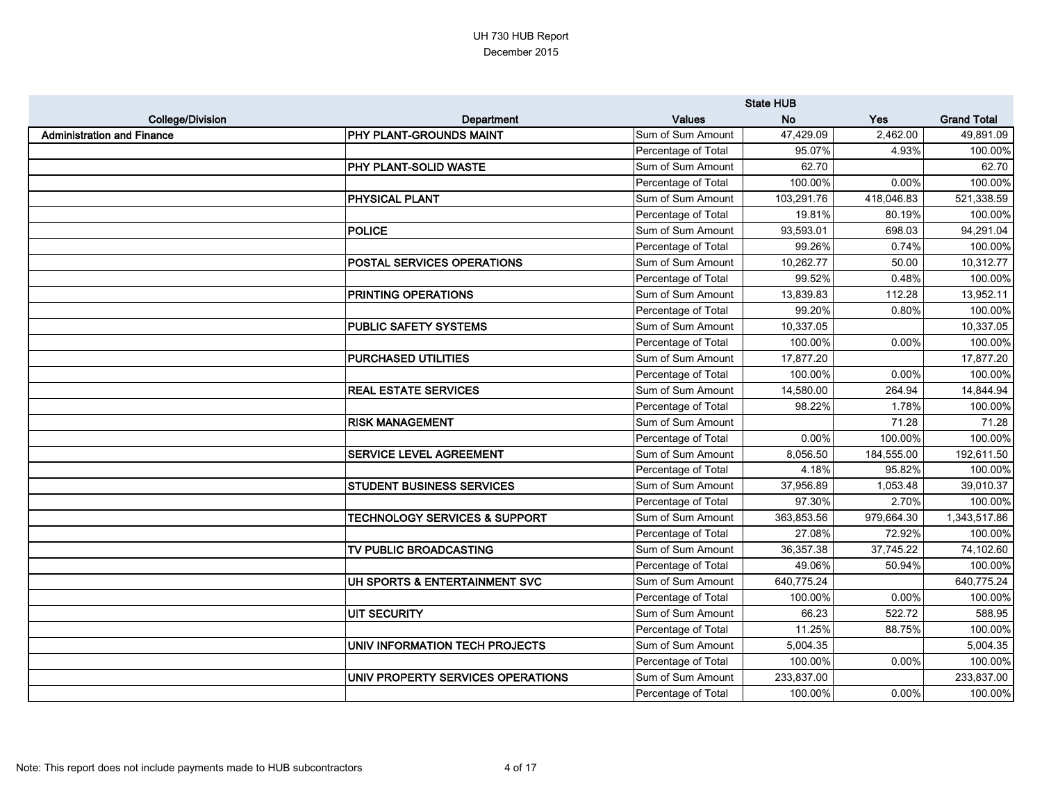|                                   |                                          |                     | <b>State HUB</b> |            |                    |
|-----------------------------------|------------------------------------------|---------------------|------------------|------------|--------------------|
| <b>College/Division</b>           | Department                               | <b>Values</b>       | <b>No</b>        | Yes        | <b>Grand Total</b> |
| <b>Administration and Finance</b> | <b>PHY PLANT-GROUNDS MAINT</b>           | Sum of Sum Amount   | 47,429.09        | 2,462.00   | 49,891.09          |
|                                   |                                          | Percentage of Total | 95.07%           | 4.93%      | 100.00%            |
|                                   | <b>PHY PLANT-SOLID WASTE</b>             | Sum of Sum Amount   | 62.70            |            | 62.70              |
|                                   |                                          | Percentage of Total | 100.00%          | 0.00%      | 100.00%            |
|                                   | <b>PHYSICAL PLANT</b>                    | Sum of Sum Amount   | 103,291.76       | 418,046.83 | 521,338.59         |
|                                   |                                          | Percentage of Total | 19.81%           | 80.19%     | 100.00%            |
|                                   | <b>POLICE</b>                            | Sum of Sum Amount   | 93,593.01        | 698.03     | 94,291.04          |
|                                   |                                          | Percentage of Total | 99.26%           | 0.74%      | 100.00%            |
|                                   | <b>POSTAL SERVICES OPERATIONS</b>        | Sum of Sum Amount   | 10,262.77        | 50.00      | 10,312.77          |
|                                   |                                          | Percentage of Total | 99.52%           | 0.48%      | 100.00%            |
|                                   | <b>PRINTING OPERATIONS</b>               | Sum of Sum Amount   | 13,839.83        | 112.28     | 13,952.11          |
|                                   |                                          | Percentage of Total | 99.20%           | 0.80%      | 100.00%            |
|                                   | <b>PUBLIC SAFETY SYSTEMS</b>             | Sum of Sum Amount   | 10,337.05        |            | 10,337.05          |
|                                   |                                          | Percentage of Total | 100.00%          | 0.00%      | 100.00%            |
|                                   | <b>PURCHASED UTILITIES</b>               | Sum of Sum Amount   | 17,877.20        |            | 17,877.20          |
|                                   |                                          | Percentage of Total | 100.00%          | 0.00%      | 100.00%            |
|                                   | <b>REAL ESTATE SERVICES</b>              | Sum of Sum Amount   | 14,580.00        | 264.94     | 14,844.94          |
|                                   |                                          | Percentage of Total | 98.22%           | 1.78%      | 100.00%            |
|                                   | <b>RISK MANAGEMENT</b>                   | Sum of Sum Amount   |                  | 71.28      | 71.28              |
|                                   |                                          | Percentage of Total | 0.00%            | 100.00%    | 100.00%            |
|                                   | <b>SERVICE LEVEL AGREEMENT</b>           | Sum of Sum Amount   | 8,056.50         | 184,555.00 | 192,611.50         |
|                                   |                                          | Percentage of Total | 4.18%            | 95.82%     | 100.00%            |
|                                   | <b>STUDENT BUSINESS SERVICES</b>         | Sum of Sum Amount   | 37,956.89        | 1,053.48   | 39,010.37          |
|                                   |                                          | Percentage of Total | 97.30%           | 2.70%      | 100.00%            |
|                                   | <b>TECHNOLOGY SERVICES &amp; SUPPORT</b> | Sum of Sum Amount   | 363,853.56       | 979,664.30 | 1,343,517.86       |
|                                   |                                          | Percentage of Total | 27.08%           | 72.92%     | 100.00%            |
|                                   | TV PUBLIC BROADCASTING                   | Sum of Sum Amount   | 36,357.38        | 37,745.22  | 74,102.60          |
|                                   |                                          | Percentage of Total | 49.06%           | 50.94%     | 100.00%            |
|                                   | UH SPORTS & ENTERTAINMENT SVC            | Sum of Sum Amount   | 640,775.24       |            | 640,775.24         |
|                                   |                                          | Percentage of Total | 100.00%          | 0.00%      | 100.00%            |
|                                   | <b>UIT SECURITY</b>                      | Sum of Sum Amount   | 66.23            | 522.72     | 588.95             |
|                                   |                                          | Percentage of Total | 11.25%           | 88.75%     | 100.00%            |
|                                   | UNIV INFORMATION TECH PROJECTS           | Sum of Sum Amount   | 5,004.35         |            | 5,004.35           |
|                                   |                                          | Percentage of Total | 100.00%          | 0.00%      | 100.00%            |
|                                   | UNIV PROPERTY SERVICES OPERATIONS        | Sum of Sum Amount   | 233,837.00       |            | 233,837.00         |
|                                   |                                          | Percentage of Total | 100.00%          | 0.00%      | 100.00%            |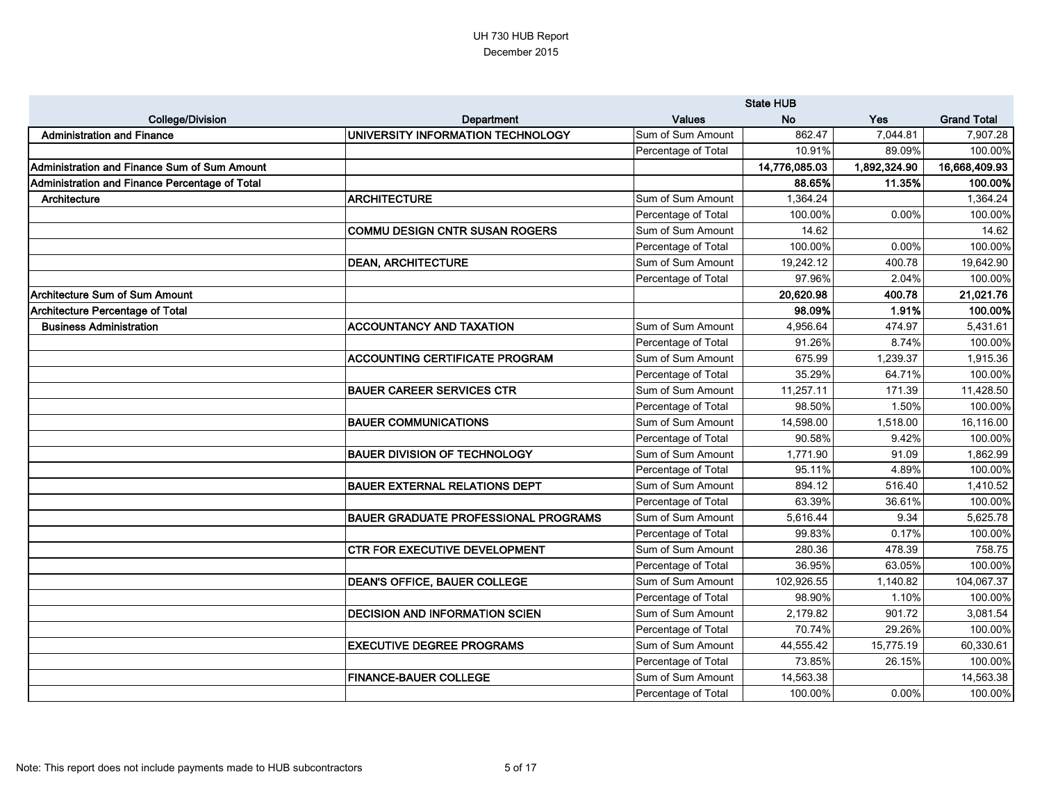|                                                     |                                             |                     | <b>State HUB</b> |              |                    |
|-----------------------------------------------------|---------------------------------------------|---------------------|------------------|--------------|--------------------|
| <b>College/Division</b>                             | Department                                  | <b>Values</b>       | <b>No</b>        | <b>Yes</b>   | <b>Grand Total</b> |
| <b>Administration and Finance</b>                   | UNIVERSITY INFORMATION TECHNOLOGY           | Sum of Sum Amount   | 862.47           | 7,044.81     | 7,907.28           |
|                                                     |                                             | Percentage of Total | 10.91%           | 89.09%       | 100.00%            |
| <b>Administration and Finance Sum of Sum Amount</b> |                                             |                     | 14,776,085.03    | 1,892,324.90 | 16,668,409.93      |
| Administration and Finance Percentage of Total      |                                             |                     | 88.65%           | 11.35%       | 100.00%            |
| Architecture                                        | <b>ARCHITECTURE</b>                         | Sum of Sum Amount   | 1,364.24         |              | 1,364.24           |
|                                                     |                                             | Percentage of Total | 100.00%          | 0.00%        | 100.00%            |
|                                                     | <b>COMMU DESIGN CNTR SUSAN ROGERS</b>       | Sum of Sum Amount   | 14.62            |              | 14.62              |
|                                                     |                                             | Percentage of Total | 100.00%          | 0.00%        | 100.00%            |
|                                                     | <b>DEAN, ARCHITECTURE</b>                   | Sum of Sum Amount   | 19,242.12        | 400.78       | 19,642.90          |
|                                                     |                                             | Percentage of Total | 97.96%           | 2.04%        | 100.00%            |
| <b>Architecture Sum of Sum Amount</b>               |                                             |                     | 20,620.98        | 400.78       | 21,021.76          |
| <b>Architecture Percentage of Total</b>             |                                             |                     | 98.09%           | 1.91%        | 100.00%            |
| <b>Business Administration</b>                      | <b>ACCOUNTANCY AND TAXATION</b>             | Sum of Sum Amount   | 4,956.64         | 474.97       | 5,431.61           |
|                                                     |                                             | Percentage of Total | 91.26%           | 8.74%        | 100.00%            |
|                                                     | <b>ACCOUNTING CERTIFICATE PROGRAM</b>       | Sum of Sum Amount   | 675.99           | 1,239.37     | 1,915.36           |
|                                                     |                                             | Percentage of Total | 35.29%           | 64.71%       | 100.00%            |
|                                                     | <b>BAUER CAREER SERVICES CTR</b>            | Sum of Sum Amount   | 11,257.11        | 171.39       | 11,428.50          |
|                                                     |                                             | Percentage of Total | 98.50%           | 1.50%        | 100.00%            |
|                                                     | <b>BAUER COMMUNICATIONS</b>                 | Sum of Sum Amount   | 14,598.00        | 1,518.00     | 16,116.00          |
|                                                     |                                             | Percentage of Total | 90.58%           | 9.42%        | 100.00%            |
|                                                     | <b>BAUER DIVISION OF TECHNOLOGY</b>         | Sum of Sum Amount   | 1,771.90         | 91.09        | 1,862.99           |
|                                                     |                                             | Percentage of Total | 95.11%           | 4.89%        | 100.00%            |
|                                                     | <b>BAUER EXTERNAL RELATIONS DEPT</b>        | Sum of Sum Amount   | 894.12           | 516.40       | 1,410.52           |
|                                                     |                                             | Percentage of Total | 63.39%           | 36.61%       | 100.00%            |
|                                                     | <b>BAUER GRADUATE PROFESSIONAL PROGRAMS</b> | Sum of Sum Amount   | 5,616.44         | 9.34         | 5,625.78           |
|                                                     |                                             | Percentage of Total | 99.83%           | 0.17%        | 100.00%            |
|                                                     | <b>CTR FOR EXECUTIVE DEVELOPMENT</b>        | Sum of Sum Amount   | 280.36           | 478.39       | 758.75             |
|                                                     |                                             | Percentage of Total | 36.95%           | 63.05%       | 100.00%            |
|                                                     | <b>DEAN'S OFFICE, BAUER COLLEGE</b>         | Sum of Sum Amount   | 102,926.55       | 1,140.82     | 104,067.37         |
|                                                     |                                             | Percentage of Total | 98.90%           | 1.10%        | 100.00%            |
|                                                     | <b>DECISION AND INFORMATION SCIEN</b>       | Sum of Sum Amount   | 2,179.82         | 901.72       | 3,081.54           |
|                                                     |                                             | Percentage of Total | 70.74%           | 29.26%       | 100.00%            |
|                                                     | <b>EXECUTIVE DEGREE PROGRAMS</b>            | Sum of Sum Amount   | 44,555.42        | 15,775.19    | 60,330.61          |
|                                                     |                                             | Percentage of Total | 73.85%           | 26.15%       | 100.00%            |
|                                                     | <b>FINANCE-BAUER COLLEGE</b>                | Sum of Sum Amount   | 14,563.38        |              | 14,563.38          |
|                                                     |                                             | Percentage of Total | 100.00%          | 0.00%        | 100.00%            |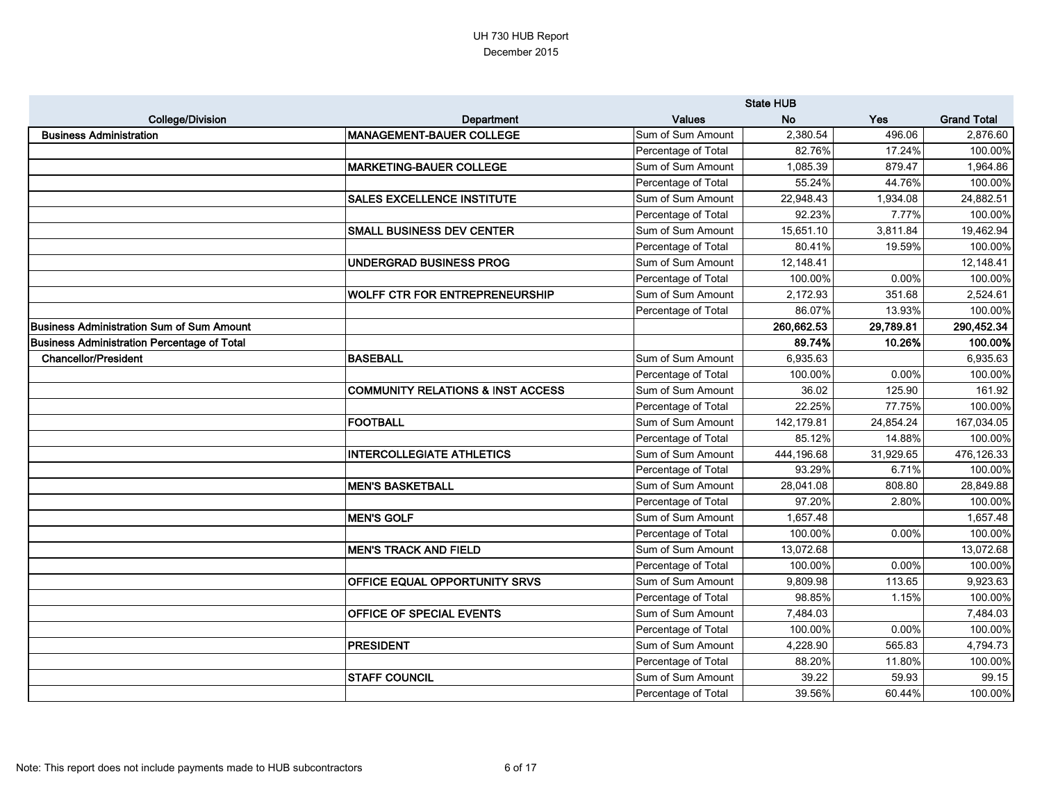|                                             |                                              |                     | <b>State HUB</b> |           |                    |
|---------------------------------------------|----------------------------------------------|---------------------|------------------|-----------|--------------------|
| <b>College/Division</b>                     | Department                                   | <b>Values</b>       | <b>No</b>        | Yes       | <b>Grand Total</b> |
| <b>Business Administration</b>              | <b>MANAGEMENT-BAUER COLLEGE</b>              | Sum of Sum Amount   | 2,380.54         | 496.06    | 2,876.60           |
|                                             |                                              | Percentage of Total | 82.76%           | 17.24%    | 100.00%            |
|                                             | <b>MARKETING-BAUER COLLEGE</b>               | Sum of Sum Amount   | 1,085.39         | 879.47    | 1,964.86           |
|                                             |                                              | Percentage of Total | 55.24%           | 44.76%    | 100.00%            |
|                                             | <b>SALES EXCELLENCE INSTITUTE</b>            | Sum of Sum Amount   | 22,948.43        | 1,934.08  | 24,882.51          |
|                                             |                                              | Percentage of Total | 92.23%           | 7.77%     | 100.00%            |
|                                             | <b>SMALL BUSINESS DEV CENTER</b>             | Sum of Sum Amount   | 15,651.10        | 3,811.84  | 19,462.94          |
|                                             |                                              | Percentage of Total | 80.41%           | 19.59%    | 100.00%            |
|                                             | <b>UNDERGRAD BUSINESS PROG</b>               | Sum of Sum Amount   | 12,148.41        |           | 12,148.41          |
|                                             |                                              | Percentage of Total | 100.00%          | 0.00%     | 100.00%            |
|                                             | WOLFF CTR FOR ENTREPRENEURSHIP               | Sum of Sum Amount   | 2,172.93         | 351.68    | 2,524.61           |
|                                             |                                              | Percentage of Total | 86.07%           | 13.93%    | 100.00%            |
| Business Administration Sum of Sum Amount   |                                              |                     | 260,662.53       | 29,789.81 | 290,452.34         |
| Business Administration Percentage of Total |                                              |                     | 89.74%           | 10.26%    | 100.00%            |
| <b>Chancellor/President</b>                 | <b>BASEBALL</b>                              | Sum of Sum Amount   | 6,935.63         |           | 6,935.63           |
|                                             |                                              | Percentage of Total | 100.00%          | 0.00%     | 100.00%            |
|                                             | <b>COMMUNITY RELATIONS &amp; INST ACCESS</b> | Sum of Sum Amount   | 36.02            | 125.90    | 161.92             |
|                                             |                                              | Percentage of Total | 22.25%           | 77.75%    | 100.00%            |
|                                             | <b>FOOTBALL</b>                              | Sum of Sum Amount   | 142,179.81       | 24,854.24 | 167,034.05         |
|                                             |                                              | Percentage of Total | 85.12%           | 14.88%    | 100.00%            |
|                                             | <b>INTERCOLLEGIATE ATHLETICS</b>             | Sum of Sum Amount   | 444,196.68       | 31,929.65 | 476,126.33         |
|                                             |                                              | Percentage of Total | 93.29%           | 6.71%     | 100.00%            |
|                                             | <b>MEN'S BASKETBALL</b>                      | Sum of Sum Amount   | 28,041.08        | 808.80    | 28,849.88          |
|                                             |                                              | Percentage of Total | 97.20%           | 2.80%     | 100.00%            |
|                                             | <b>MEN'S GOLF</b>                            | Sum of Sum Amount   | 1,657.48         |           | 1,657.48           |
|                                             |                                              | Percentage of Total | 100.00%          | 0.00%     | 100.00%            |
|                                             | <b>MEN'S TRACK AND FIELD</b>                 | Sum of Sum Amount   | 13,072.68        |           | 13,072.68          |
|                                             |                                              | Percentage of Total | 100.00%          | 0.00%     | 100.00%            |
|                                             | <b>OFFICE EQUAL OPPORTUNITY SRVS</b>         | Sum of Sum Amount   | 9,809.98         | 113.65    | 9,923.63           |
|                                             |                                              | Percentage of Total | 98.85%           | 1.15%     | 100.00%            |
|                                             | <b>OFFICE OF SPECIAL EVENTS</b>              | Sum of Sum Amount   | 7,484.03         |           | 7,484.03           |
|                                             |                                              | Percentage of Total | 100.00%          | 0.00%     | 100.00%            |
|                                             | <b>PRESIDENT</b>                             | Sum of Sum Amount   | 4,228.90         | 565.83    | 4,794.73           |
|                                             |                                              | Percentage of Total | 88.20%           | 11.80%    | 100.00%            |
|                                             | <b>STAFF COUNCIL</b>                         | Sum of Sum Amount   | 39.22            | 59.93     | 99.15              |
|                                             |                                              | Percentage of Total | 39.56%           | 60.44%    | 100.00%            |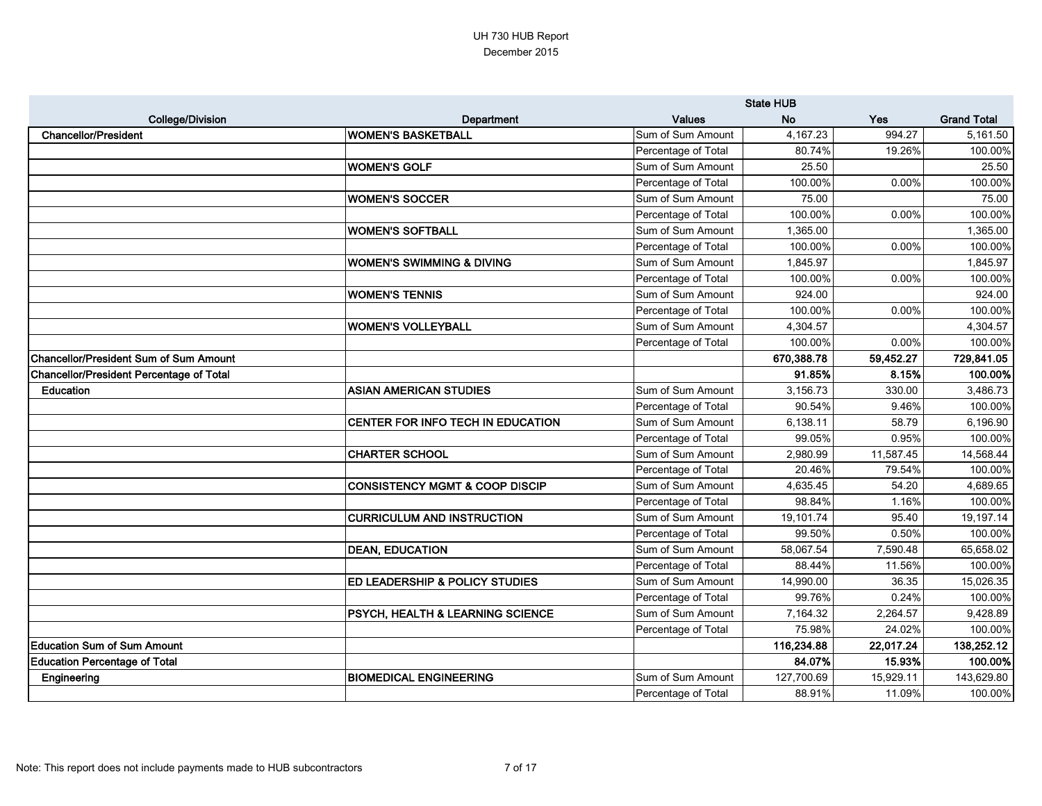|                                                 |                                             |                     | <b>State HUB</b> |            |                    |
|-------------------------------------------------|---------------------------------------------|---------------------|------------------|------------|--------------------|
| <b>College/Division</b>                         | Department                                  | <b>Values</b>       | <b>No</b>        | <b>Yes</b> | <b>Grand Total</b> |
| <b>Chancellor/President</b>                     | WOMEN'S BASKETBALL                          | Sum of Sum Amount   | 4,167.23         | 994.27     | 5,161.50           |
|                                                 |                                             | Percentage of Total | 80.74%           | 19.26%     | 100.00%            |
|                                                 | <b>WOMEN'S GOLF</b>                         | Sum of Sum Amount   | 25.50            |            | 25.50              |
|                                                 |                                             | Percentage of Total | 100.00%          | 0.00%      | 100.00%            |
|                                                 | <b>WOMEN'S SOCCER</b>                       | Sum of Sum Amount   | 75.00            |            | 75.00              |
|                                                 |                                             | Percentage of Total | 100.00%          | 0.00%      | 100.00%            |
|                                                 | WOMEN'S SOFTBALL                            | Sum of Sum Amount   | 1,365.00         |            | 1,365.00           |
|                                                 |                                             | Percentage of Total | 100.00%          | 0.00%      | 100.00%            |
|                                                 | WOMEN'S SWIMMING & DIVING                   | Sum of Sum Amount   | 1,845.97         |            | 1,845.97           |
|                                                 |                                             | Percentage of Total | 100.00%          | 0.00%      | 100.00%            |
|                                                 | <b>WOMEN'S TENNIS</b>                       | Sum of Sum Amount   | 924.00           |            | 924.00             |
|                                                 |                                             | Percentage of Total | 100.00%          | 0.00%      | 100.00%            |
|                                                 | WOMEN'S VOLLEYBALL                          | Sum of Sum Amount   | 4,304.57         |            | 4,304.57           |
|                                                 |                                             | Percentage of Total | 100.00%          | 0.00%      | 100.00%            |
| <b>Chancellor/President Sum of Sum Amount</b>   |                                             |                     | 670,388.78       | 59,452.27  | 729,841.05         |
| <b>Chancellor/President Percentage of Total</b> |                                             |                     | 91.85%           | 8.15%      | 100.00%            |
| <b>Education</b>                                | <b>ASIAN AMERICAN STUDIES</b>               | Sum of Sum Amount   | 3,156.73         | 330.00     | 3,486.73           |
|                                                 |                                             | Percentage of Total | 90.54%           | 9.46%      | 100.00%            |
|                                                 | CENTER FOR INFO TECH IN EDUCATION           | Sum of Sum Amount   | 6,138.11         | 58.79      | 6,196.90           |
|                                                 |                                             | Percentage of Total | 99.05%           | 0.95%      | 100.00%            |
|                                                 | <b>CHARTER SCHOOL</b>                       | Sum of Sum Amount   | 2,980.99         | 11,587.45  | 14,568.44          |
|                                                 |                                             | Percentage of Total | 20.46%           | 79.54%     | 100.00%            |
|                                                 | <b>CONSISTENCY MGMT &amp; COOP DISCIP</b>   | Sum of Sum Amount   | 4,635.45         | 54.20      | 4,689.65           |
|                                                 |                                             | Percentage of Total | 98.84%           | 1.16%      | 100.00%            |
|                                                 | <b>CURRICULUM AND INSTRUCTION</b>           | Sum of Sum Amount   | 19,101.74        | 95.40      | 19,197.14          |
|                                                 |                                             | Percentage of Total | 99.50%           | 0.50%      | 100.00%            |
|                                                 | <b>DEAN, EDUCATION</b>                      | Sum of Sum Amount   | 58,067.54        | 7,590.48   | 65,658.02          |
|                                                 |                                             | Percentage of Total | 88.44%           | 11.56%     | 100.00%            |
|                                                 | <b>ED LEADERSHIP &amp; POLICY STUDIES</b>   | Sum of Sum Amount   | 14,990.00        | 36.35      | 15,026.35          |
|                                                 |                                             | Percentage of Total | 99.76%           | 0.24%      | 100.00%            |
|                                                 | <b>PSYCH, HEALTH &amp; LEARNING SCIENCE</b> | Sum of Sum Amount   | 7,164.32         | 2,264.57   | 9,428.89           |
|                                                 |                                             | Percentage of Total | 75.98%           | 24.02%     | 100.00%            |
| <b>Education Sum of Sum Amount</b>              |                                             |                     | 116,234.88       | 22,017.24  | 138,252.12         |
| <b>Education Percentage of Total</b>            |                                             |                     | 84.07%           | 15.93%     | 100.00%            |
| Engineering                                     | <b>BIOMEDICAL ENGINEERING</b>               | Sum of Sum Amount   | 127,700.69       | 15,929.11  | 143,629.80         |
|                                                 |                                             | Percentage of Total | 88.91%           | 11.09%     | 100.00%            |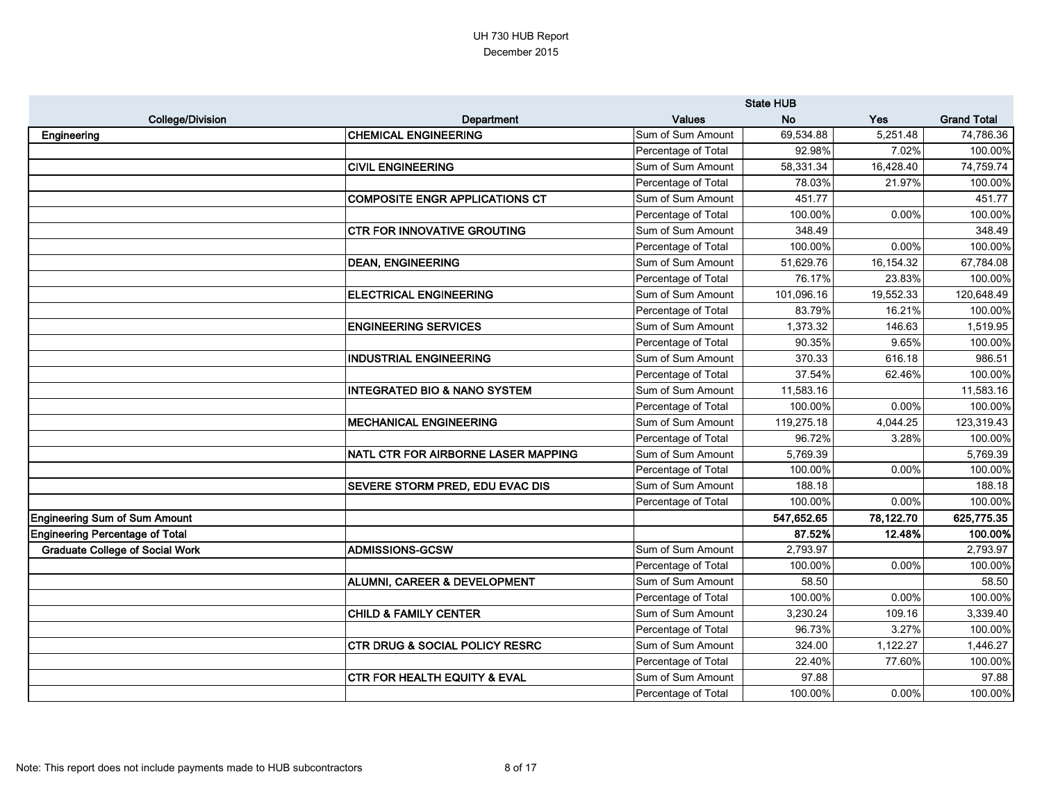|                                        |                                           | <b>State HUB</b>    |            |            |                    |
|----------------------------------------|-------------------------------------------|---------------------|------------|------------|--------------------|
| <b>College/Division</b>                | Department                                | <b>Values</b>       | <b>No</b>  | <b>Yes</b> | <b>Grand Total</b> |
| Engineering                            | <b>CHEMICAL ENGINEERING</b>               | Sum of Sum Amount   | 69,534.88  | 5,251.48   | 74,786.36          |
|                                        |                                           | Percentage of Total | 92.98%     | 7.02%      | 100.00%            |
|                                        | <b>CIVIL ENGINEERING</b>                  | Sum of Sum Amount   | 58,331.34  | 16,428.40  | 74,759.74          |
|                                        |                                           | Percentage of Total | 78.03%     | 21.97%     | 100.00%            |
|                                        | <b>COMPOSITE ENGR APPLICATIONS CT</b>     | Sum of Sum Amount   | 451.77     |            | 451.77             |
|                                        |                                           | Percentage of Total | 100.00%    | 0.00%      | 100.00%            |
|                                        | <b>CTR FOR INNOVATIVE GROUTING</b>        | Sum of Sum Amount   | 348.49     |            | 348.49             |
|                                        |                                           | Percentage of Total | 100.00%    | 0.00%      | 100.00%            |
|                                        | <b>DEAN, ENGINEERING</b>                  | Sum of Sum Amount   | 51,629.76  | 16,154.32  | 67,784.08          |
|                                        |                                           | Percentage of Total | 76.17%     | 23.83%     | 100.00%            |
|                                        | <b>ELECTRICAL ENGINEERING</b>             | Sum of Sum Amount   | 101,096.16 | 19,552.33  | 120,648.49         |
|                                        |                                           | Percentage of Total | 83.79%     | 16.21%     | 100.00%            |
|                                        | <b>ENGINEERING SERVICES</b>               | Sum of Sum Amount   | 1,373.32   | 146.63     | 1,519.95           |
|                                        |                                           | Percentage of Total | 90.35%     | 9.65%      | 100.00%            |
|                                        | <b>INDUSTRIAL ENGINEERING</b>             | Sum of Sum Amount   | 370.33     | 616.18     | 986.51             |
|                                        |                                           | Percentage of Total | 37.54%     | 62.46%     | 100.00%            |
|                                        | <b>INTEGRATED BIO &amp; NANO SYSTEM</b>   | Sum of Sum Amount   | 11,583.16  |            | 11,583.16          |
|                                        |                                           | Percentage of Total | 100.00%    | 0.00%      | 100.00%            |
|                                        | <b>MECHANICAL ENGINEERING</b>             | Sum of Sum Amount   | 119,275.18 | 4,044.25   | 123,319.43         |
|                                        |                                           | Percentage of Total | 96.72%     | 3.28%      | 100.00%            |
|                                        | NATL CTR FOR AIRBORNE LASER MAPPING       | Sum of Sum Amount   | 5,769.39   |            | 5,769.39           |
|                                        |                                           | Percentage of Total | 100.00%    | 0.00%      | 100.00%            |
|                                        | <b>SEVERE STORM PRED, EDU EVAC DIS</b>    | Sum of Sum Amount   | 188.18     |            | 188.18             |
|                                        |                                           | Percentage of Total | 100.00%    | 0.00%      | 100.00%            |
| <b>Engineering Sum of Sum Amount</b>   |                                           |                     | 547,652.65 | 78,122.70  | 625,775.35         |
| <b>Engineering Percentage of Total</b> |                                           |                     | 87.52%     | 12.48%     | 100.00%            |
| <b>Graduate College of Social Work</b> | <b>ADMISSIONS-GCSW</b>                    | Sum of Sum Amount   | 2,793.97   |            | 2,793.97           |
|                                        |                                           | Percentage of Total | 100.00%    | 0.00%      | 100.00%            |
|                                        | <b>ALUMNI, CAREER &amp; DEVELOPMENT</b>   | Sum of Sum Amount   | 58.50      |            | 58.50              |
|                                        |                                           | Percentage of Total | 100.00%    | 0.00%      | 100.00%            |
|                                        | <b>CHILD &amp; FAMILY CENTER</b>          | Sum of Sum Amount   | 3,230.24   | 109.16     | 3,339.40           |
|                                        |                                           | Percentage of Total | 96.73%     | 3.27%      | 100.00%            |
|                                        | <b>CTR DRUG &amp; SOCIAL POLICY RESRC</b> | Sum of Sum Amount   | 324.00     | 1,122.27   | 1,446.27           |
|                                        |                                           | Percentage of Total | 22.40%     | 77.60%     | 100.00%            |
|                                        | <b>CTR FOR HEALTH EQUITY &amp; EVAL</b>   | Sum of Sum Amount   | 97.88      |            | 97.88              |
|                                        |                                           | Percentage of Total | 100.00%    | $0.00\%$   | 100.00%            |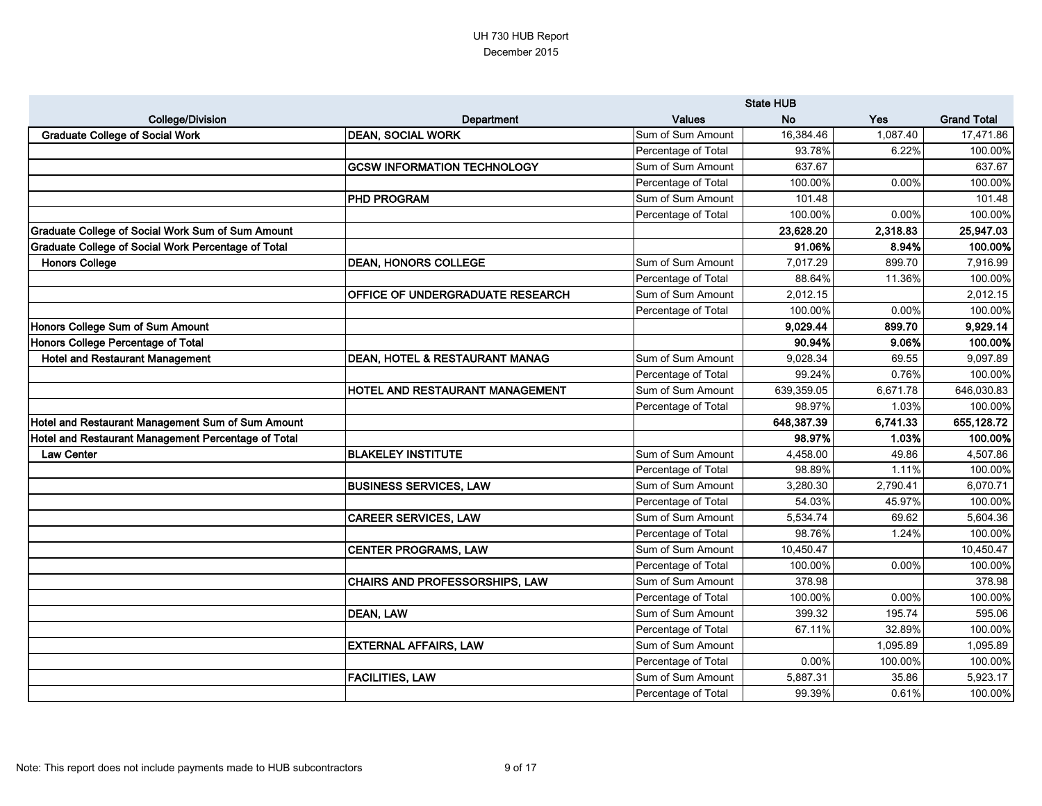|                                                          |                                    | <b>State HUB</b>    |            |          |                    |
|----------------------------------------------------------|------------------------------------|---------------------|------------|----------|--------------------|
| <b>College/Division</b>                                  | Department                         | <b>Values</b>       | <b>No</b>  | Yes      | <b>Grand Total</b> |
| <b>Graduate College of Social Work</b>                   | <b>DEAN, SOCIAL WORK</b>           | Sum of Sum Amount   | 16,384.46  | 1,087.40 | 17,471.86          |
|                                                          |                                    | Percentage of Total | 93.78%     | 6.22%    | 100.00%            |
|                                                          | <b>GCSW INFORMATION TECHNOLOGY</b> | Sum of Sum Amount   | 637.67     |          | 637.67             |
|                                                          |                                    | Percentage of Total | 100.00%    | 0.00%    | 100.00%            |
|                                                          | <b>PHD PROGRAM</b>                 | Sum of Sum Amount   | 101.48     |          | 101.48             |
|                                                          |                                    | Percentage of Total | 100.00%    | 0.00%    | 100.00%            |
| <b>Graduate College of Social Work Sum of Sum Amount</b> |                                    |                     | 23,628.20  | 2,318.83 | 25,947.03          |
| Graduate College of Social Work Percentage of Total      |                                    |                     | 91.06%     | 8.94%    | 100.00%            |
| <b>Honors College</b>                                    | <b>DEAN, HONORS COLLEGE</b>        | Sum of Sum Amount   | 7,017.29   | 899.70   | 7,916.99           |
|                                                          |                                    | Percentage of Total | 88.64%     | 11.36%   | 100.00%            |
|                                                          | OFFICE OF UNDERGRADUATE RESEARCH   | Sum of Sum Amount   | 2,012.15   |          | 2,012.15           |
|                                                          |                                    | Percentage of Total | 100.00%    | 0.00%    | 100.00%            |
| Honors College Sum of Sum Amount                         |                                    |                     | 9,029.44   | 899.70   | 9,929.14           |
| <b>Honors College Percentage of Total</b>                |                                    |                     | 90.94%     | 9.06%    | 100.00%            |
| <b>Hotel and Restaurant Management</b>                   | DEAN, HOTEL & RESTAURANT MANAG     | Sum of Sum Amount   | 9,028.34   | 69.55    | 9,097.89           |
|                                                          |                                    | Percentage of Total | 99.24%     | 0.76%    | 100.00%            |
|                                                          | HOTEL AND RESTAURANT MANAGEMENT    | Sum of Sum Amount   | 639,359.05 | 6,671.78 | 646,030.83         |
|                                                          |                                    | Percentage of Total | 98.97%     | 1.03%    | 100.00%            |
| Hotel and Restaurant Management Sum of Sum Amount        |                                    |                     | 648,387.39 | 6,741.33 | 655,128.72         |
| Hotel and Restaurant Management Percentage of Total      |                                    |                     | 98.97%     | 1.03%    | 100.00%            |
| <b>Law Center</b>                                        | <b>BLAKELEY INSTITUTE</b>          | Sum of Sum Amount   | 4,458.00   | 49.86    | 4,507.86           |
|                                                          |                                    | Percentage of Total | 98.89%     | 1.11%    | 100.00%            |
|                                                          | <b>BUSINESS SERVICES, LAW</b>      | Sum of Sum Amount   | 3,280.30   | 2,790.41 | 6,070.71           |
|                                                          |                                    | Percentage of Total | 54.03%     | 45.97%   | 100.00%            |
|                                                          | <b>CAREER SERVICES, LAW</b>        | Sum of Sum Amount   | 5,534.74   | 69.62    | 5,604.36           |
|                                                          |                                    | Percentage of Total | 98.76%     | 1.24%    | 100.00%            |
|                                                          | <b>CENTER PROGRAMS, LAW</b>        | Sum of Sum Amount   | 10,450.47  |          | 10,450.47          |
|                                                          |                                    | Percentage of Total | 100.00%    | 0.00%    | 100.00%            |
|                                                          | CHAIRS AND PROFESSORSHIPS, LAW     | Sum of Sum Amount   | 378.98     |          | 378.98             |
|                                                          |                                    | Percentage of Total | 100.00%    | 0.00%    | 100.00%            |
|                                                          | <b>DEAN, LAW</b>                   | Sum of Sum Amount   | 399.32     | 195.74   | 595.06             |
|                                                          |                                    | Percentage of Total | 67.11%     | 32.89%   | 100.00%            |
|                                                          | <b>EXTERNAL AFFAIRS, LAW</b>       | Sum of Sum Amount   |            | 1,095.89 | 1,095.89           |
|                                                          |                                    | Percentage of Total | 0.00%      | 100.00%  | 100.00%            |
|                                                          | <b>FACILITIES, LAW</b>             | Sum of Sum Amount   | 5,887.31   | 35.86    | 5,923.17           |
|                                                          |                                    | Percentage of Total | 99.39%     | 0.61%    | 100.00%            |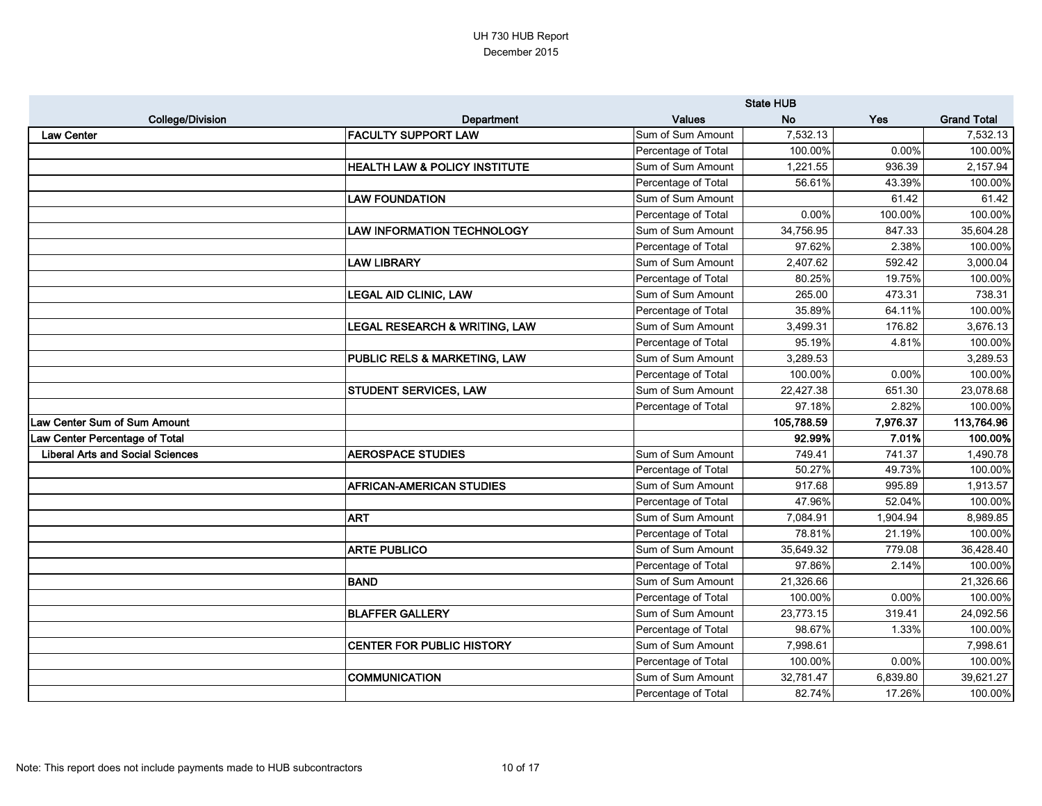|                                         |                                          | <b>State HUB</b>    |            |            |                    |
|-----------------------------------------|------------------------------------------|---------------------|------------|------------|--------------------|
| <b>College/Division</b>                 | Department                               | <b>Values</b>       | <b>No</b>  | <b>Yes</b> | <b>Grand Total</b> |
| <b>Law Center</b>                       | <b>FACULTY SUPPORT LAW</b>               | Sum of Sum Amount   | 7,532.13   |            | 7,532.13           |
|                                         |                                          | Percentage of Total | 100.00%    | 0.00%      | 100.00%            |
|                                         | <b>HEALTH LAW &amp; POLICY INSTITUTE</b> | Sum of Sum Amount   | 1,221.55   | 936.39     | 2,157.94           |
|                                         |                                          | Percentage of Total | 56.61%     | 43.39%     | 100.00%            |
|                                         | <b>LAW FOUNDATION</b>                    | Sum of Sum Amount   |            | 61.42      | 61.42              |
|                                         |                                          | Percentage of Total | 0.00%      | 100.00%    | 100.00%            |
|                                         | <b>LAW INFORMATION TECHNOLOGY</b>        | Sum of Sum Amount   | 34,756.95  | 847.33     | 35,604.28          |
|                                         |                                          | Percentage of Total | 97.62%     | 2.38%      | 100.00%            |
|                                         | <b>LAW LIBRARY</b>                       | Sum of Sum Amount   | 2,407.62   | 592.42     | 3,000.04           |
|                                         |                                          | Percentage of Total | 80.25%     | 19.75%     | 100.00%            |
|                                         | <b>LEGAL AID CLINIC, LAW</b>             | Sum of Sum Amount   | 265.00     | 473.31     | 738.31             |
|                                         |                                          | Percentage of Total | 35.89%     | 64.11%     | 100.00%            |
|                                         | <b>LEGAL RESEARCH &amp; WRITING, LAW</b> | Sum of Sum Amount   | 3,499.31   | 176.82     | 3,676.13           |
|                                         |                                          | Percentage of Total | 95.19%     | 4.81%      | 100.00%            |
|                                         | <b>PUBLIC RELS &amp; MARKETING, LAW</b>  | Sum of Sum Amount   | 3,289.53   |            | 3,289.53           |
|                                         |                                          | Percentage of Total | 100.00%    | 0.00%      | 100.00%            |
|                                         | <b>STUDENT SERVICES, LAW</b>             | Sum of Sum Amount   | 22,427.38  | 651.30     | 23,078.68          |
|                                         |                                          | Percentage of Total | 97.18%     | 2.82%      | 100.00%            |
| Law Center Sum of Sum Amount            |                                          |                     | 105,788.59 | 7,976.37   | 113,764.96         |
| Law Center Percentage of Total          |                                          |                     | 92.99%     | 7.01%      | 100.00%            |
| <b>Liberal Arts and Social Sciences</b> | <b>AEROSPACE STUDIES</b>                 | Sum of Sum Amount   | 749.41     | 741.37     | 1,490.78           |
|                                         |                                          | Percentage of Total | 50.27%     | 49.73%     | 100.00%            |
|                                         | <b>AFRICAN-AMERICAN STUDIES</b>          | Sum of Sum Amount   | 917.68     | 995.89     | 1,913.57           |
|                                         |                                          | Percentage of Total | 47.96%     | 52.04%     | 100.00%            |
|                                         | <b>ART</b>                               | Sum of Sum Amount   | 7,084.91   | 1,904.94   | 8,989.85           |
|                                         |                                          | Percentage of Total | 78.81%     | 21.19%     | 100.00%            |
|                                         | <b>ARTE PUBLICO</b>                      | Sum of Sum Amount   | 35,649.32  | 779.08     | 36,428.40          |
|                                         |                                          | Percentage of Total | 97.86%     | 2.14%      | 100.00%            |
|                                         | <b>BAND</b>                              | Sum of Sum Amount   | 21,326.66  |            | 21,326.66          |
|                                         |                                          | Percentage of Total | 100.00%    | 0.00%      | 100.00%            |
|                                         | <b>BLAFFER GALLERY</b>                   | Sum of Sum Amount   | 23,773.15  | 319.41     | 24,092.56          |
|                                         |                                          | Percentage of Total | 98.67%     | 1.33%      | 100.00%            |
|                                         | <b>CENTER FOR PUBLIC HISTORY</b>         | Sum of Sum Amount   | 7,998.61   |            | 7,998.61           |
|                                         |                                          | Percentage of Total | 100.00%    | 0.00%      | 100.00%            |
|                                         | <b>COMMUNICATION</b>                     | Sum of Sum Amount   | 32,781.47  | 6,839.80   | 39,621.27          |
|                                         |                                          | Percentage of Total | 82.74%     | 17.26%     | 100.00%            |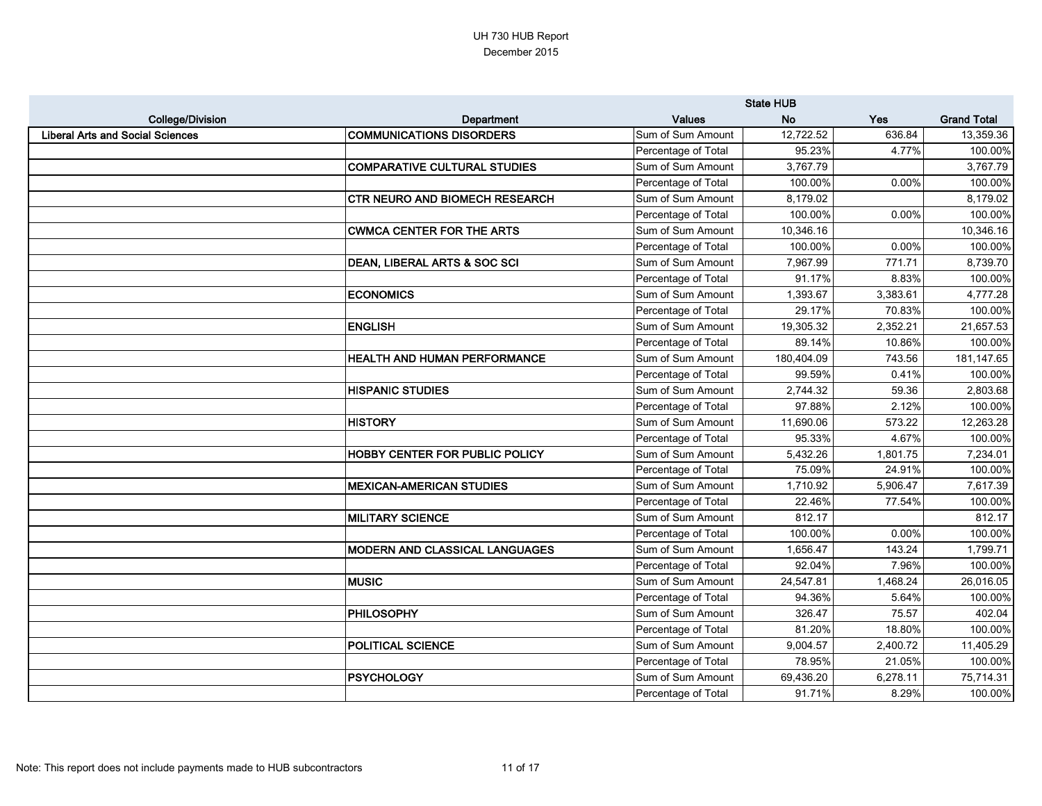|                                         |                                       |                     | <b>State HUB</b> |            |                    |
|-----------------------------------------|---------------------------------------|---------------------|------------------|------------|--------------------|
| <b>College/Division</b>                 | Department                            | <b>Values</b>       | <b>No</b>        | <b>Yes</b> | <b>Grand Total</b> |
| <b>Liberal Arts and Social Sciences</b> | <b>COMMUNICATIONS DISORDERS</b>       | Sum of Sum Amount   | 12,722.52        | 636.84     | 13,359.36          |
|                                         |                                       | Percentage of Total | 95.23%           | 4.77%      | 100.00%            |
|                                         | <b>COMPARATIVE CULTURAL STUDIES</b>   | Sum of Sum Amount   | 3,767.79         |            | 3,767.79           |
|                                         |                                       | Percentage of Total | 100.00%          | 0.00%      | 100.00%            |
|                                         | <b>CTR NEURO AND BIOMECH RESEARCH</b> | Sum of Sum Amount   | 8,179.02         |            | 8,179.02           |
|                                         |                                       | Percentage of Total | 100.00%          | 0.00%      | 100.00%            |
|                                         | <b>CWMCA CENTER FOR THE ARTS</b>      | Sum of Sum Amount   | 10,346.16        |            | 10,346.16          |
|                                         |                                       | Percentage of Total | 100.00%          | 0.00%      | 100.00%            |
|                                         | DEAN, LIBERAL ARTS & SOC SCI          | Sum of Sum Amount   | 7,967.99         | 771.71     | 8,739.70           |
|                                         |                                       | Percentage of Total | 91.17%           | 8.83%      | 100.00%            |
|                                         | <b>ECONOMICS</b>                      | Sum of Sum Amount   | 1,393.67         | 3,383.61   | 4,777.28           |
|                                         |                                       | Percentage of Total | 29.17%           | 70.83%     | 100.00%            |
|                                         | <b>ENGLISH</b>                        | Sum of Sum Amount   | 19,305.32        | 2,352.21   | 21,657.53          |
|                                         |                                       | Percentage of Total | 89.14%           | 10.86%     | 100.00%            |
|                                         | <b>HEALTH AND HUMAN PERFORMANCE</b>   | Sum of Sum Amount   | 180,404.09       | 743.56     | 181,147.65         |
|                                         |                                       | Percentage of Total | 99.59%           | 0.41%      | 100.00%            |
|                                         | <b>HISPANIC STUDIES</b>               | Sum of Sum Amount   | 2,744.32         | 59.36      | 2,803.68           |
|                                         |                                       | Percentage of Total | 97.88%           | 2.12%      | 100.00%            |
|                                         | <b>HISTORY</b>                        | Sum of Sum Amount   | 11,690.06        | 573.22     | 12,263.28          |
|                                         |                                       | Percentage of Total | 95.33%           | 4.67%      | 100.00%            |
|                                         | HOBBY CENTER FOR PUBLIC POLICY        | Sum of Sum Amount   | 5,432.26         | 1,801.75   | 7,234.01           |
|                                         |                                       | Percentage of Total | 75.09%           | 24.91%     | 100.00%            |
|                                         | <b>MEXICAN-AMERICAN STUDIES</b>       | Sum of Sum Amount   | 1,710.92         | 5,906.47   | 7,617.39           |
|                                         |                                       | Percentage of Total | 22.46%           | 77.54%     | 100.00%            |
|                                         | <b>MILITARY SCIENCE</b>               | Sum of Sum Amount   | 812.17           |            | 812.17             |
|                                         |                                       | Percentage of Total | 100.00%          | 0.00%      | 100.00%            |
|                                         | <b>MODERN AND CLASSICAL LANGUAGES</b> | Sum of Sum Amount   | 1,656.47         | 143.24     | 1,799.71           |
|                                         |                                       | Percentage of Total | 92.04%           | 7.96%      | 100.00%            |
|                                         | <b>MUSIC</b>                          | Sum of Sum Amount   | 24,547.81        | 1,468.24   | 26,016.05          |
|                                         |                                       | Percentage of Total | 94.36%           | 5.64%      | 100.00%            |
|                                         | <b>PHILOSOPHY</b>                     | Sum of Sum Amount   | 326.47           | 75.57      | 402.04             |
|                                         |                                       | Percentage of Total | 81.20%           | 18.80%     | 100.00%            |
|                                         | <b>POLITICAL SCIENCE</b>              | Sum of Sum Amount   | 9,004.57         | 2,400.72   | 11,405.29          |
|                                         |                                       | Percentage of Total | 78.95%           | 21.05%     | 100.00%            |
|                                         | <b>PSYCHOLOGY</b>                     | Sum of Sum Amount   | 69,436.20        | 6,278.11   | 75,714.31          |
|                                         |                                       | Percentage of Total | 91.71%           | 8.29%      | 100.00%            |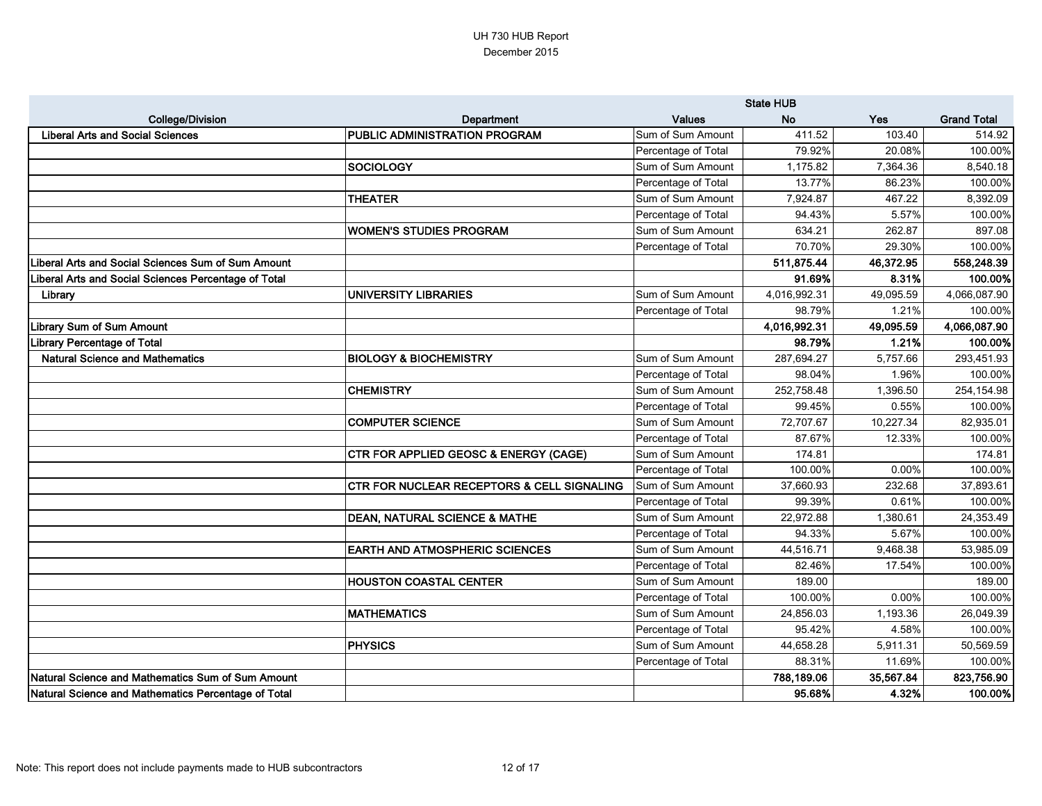|                                                      |                                                       |                     | <b>State HUB</b> |           |                    |
|------------------------------------------------------|-------------------------------------------------------|---------------------|------------------|-----------|--------------------|
| <b>College/Division</b>                              | Department                                            | <b>Values</b>       | <b>No</b>        | Yes       | <b>Grand Total</b> |
| <b>Liberal Arts and Social Sciences</b>              | <b>PUBLIC ADMINISTRATION PROGRAM</b>                  | Sum of Sum Amount   | 411.52           | 103.40    | 514.92             |
|                                                      |                                                       | Percentage of Total | 79.92%           | 20.08%    | 100.00%            |
|                                                      | <b>SOCIOLOGY</b>                                      | Sum of Sum Amount   | 1,175.82         | 7,364.36  | 8,540.18           |
|                                                      |                                                       | Percentage of Total | 13.77%           | 86.23%    | 100.00%            |
|                                                      | <b>THEATER</b>                                        | Sum of Sum Amount   | 7,924.87         | 467.22    | 8,392.09           |
|                                                      |                                                       | Percentage of Total | 94.43%           | 5.57%     | 100.00%            |
|                                                      | WOMEN'S STUDIES PROGRAM                               | Sum of Sum Amount   | 634.21           | 262.87    | 897.08             |
|                                                      |                                                       | Percentage of Total | 70.70%           | 29.30%    | 100.00%            |
| Liberal Arts and Social Sciences Sum of Sum Amount   |                                                       |                     | 511,875.44       | 46,372.95 | 558,248.39         |
| Liberal Arts and Social Sciences Percentage of Total |                                                       |                     | 91.69%           | 8.31%     | 100.00%            |
| Library                                              | <b>UNIVERSITY LIBRARIES</b>                           | Sum of Sum Amount   | 4,016,992.31     | 49,095.59 | 4,066,087.90       |
|                                                      |                                                       | Percentage of Total | 98.79%           | 1.21%     | 100.00%            |
| <b>Library Sum of Sum Amount</b>                     |                                                       |                     | 4,016,992.31     | 49,095.59 | 4,066,087.90       |
| <b>Library Percentage of Total</b>                   |                                                       |                     | 98.79%           | 1.21%     | 100.00%            |
| <b>Natural Science and Mathematics</b>               | <b>BIOLOGY &amp; BIOCHEMISTRY</b>                     | Sum of Sum Amount   | 287,694.27       | 5,757.66  | 293,451.93         |
|                                                      |                                                       | Percentage of Total | 98.04%           | 1.96%     | 100.00%            |
|                                                      | <b>CHEMISTRY</b>                                      | Sum of Sum Amount   | 252,758.48       | 1,396.50  | 254,154.98         |
|                                                      |                                                       | Percentage of Total | 99.45%           | 0.55%     | 100.00%            |
|                                                      | <b>COMPUTER SCIENCE</b>                               | Sum of Sum Amount   | 72,707.67        | 10,227.34 | 82,935.01          |
|                                                      |                                                       | Percentage of Total | 87.67%           | 12.33%    | 100.00%            |
|                                                      | <b>CTR FOR APPLIED GEOSC &amp; ENERGY (CAGE)</b>      | Sum of Sum Amount   | 174.81           |           | 174.81             |
|                                                      |                                                       | Percentage of Total | 100.00%          | 0.00%     | 100.00%            |
|                                                      | <b>CTR FOR NUCLEAR RECEPTORS &amp; CELL SIGNALING</b> | Sum of Sum Amount   | 37,660.93        | 232.68    | 37,893.61          |
|                                                      |                                                       | Percentage of Total | 99.39%           | 0.61%     | 100.00%            |
|                                                      | <b>DEAN, NATURAL SCIENCE &amp; MATHE</b>              | Sum of Sum Amount   | 22,972.88        | 1,380.61  | 24,353.49          |
|                                                      |                                                       | Percentage of Total | 94.33%           | 5.67%     | 100.00%            |
|                                                      | <b>EARTH AND ATMOSPHERIC SCIENCES</b>                 | Sum of Sum Amount   | 44,516.71        | 9,468.38  | 53,985.09          |
|                                                      |                                                       | Percentage of Total | 82.46%           | 17.54%    | 100.00%            |
|                                                      | <b>HOUSTON COASTAL CENTER</b>                         | Sum of Sum Amount   | 189.00           |           | 189.00             |
|                                                      |                                                       | Percentage of Total | 100.00%          | 0.00%     | 100.00%            |
|                                                      | <b>MATHEMATICS</b>                                    | Sum of Sum Amount   | 24,856.03        | 1,193.36  | 26,049.39          |
|                                                      |                                                       | Percentage of Total | 95.42%           | 4.58%     | 100.00%            |
|                                                      | <b>PHYSICS</b>                                        | Sum of Sum Amount   | 44,658.28        | 5,911.31  | 50,569.59          |
|                                                      |                                                       | Percentage of Total | 88.31%           | 11.69%    | 100.00%            |
| Natural Science and Mathematics Sum of Sum Amount    |                                                       |                     | 788,189.06       | 35,567.84 | 823,756.90         |
| Natural Science and Mathematics Percentage of Total  |                                                       |                     | 95.68%           | 4.32%     | 100.00%            |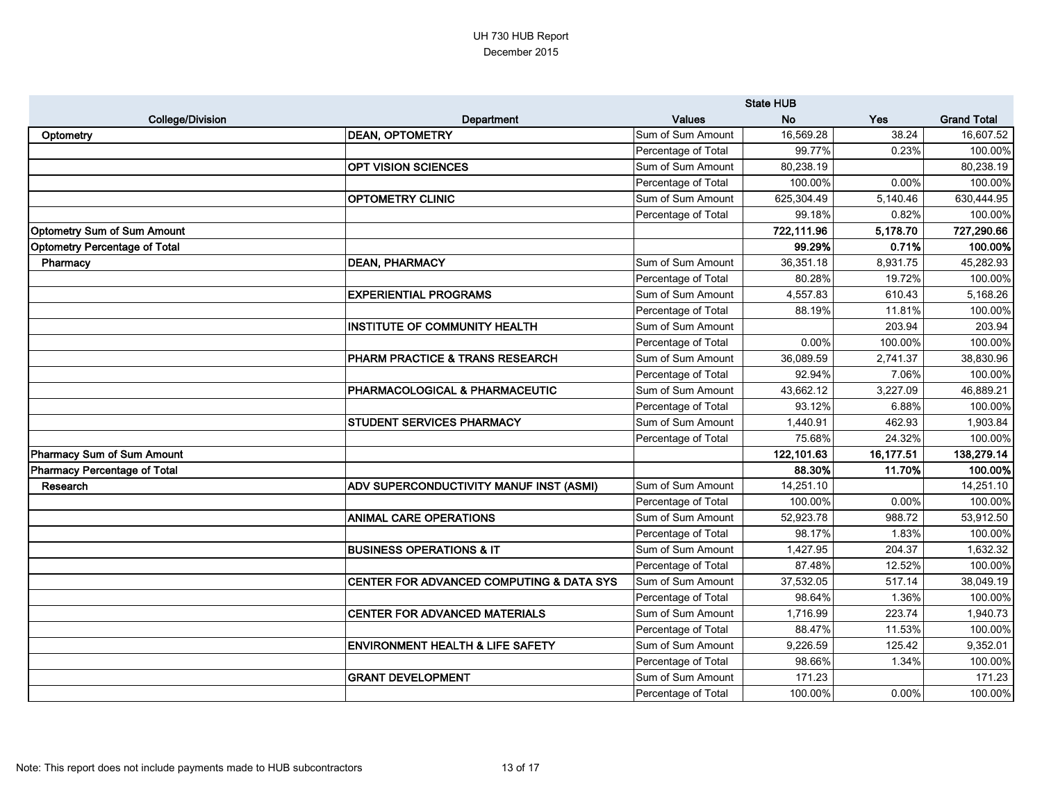|                                      |                                             | <b>State HUB</b>    |            |           |                    |
|--------------------------------------|---------------------------------------------|---------------------|------------|-----------|--------------------|
| <b>College/Division</b>              | Department                                  | <b>Values</b>       | <b>No</b>  | Yes       | <b>Grand Total</b> |
| Optometry                            | <b>DEAN, OPTOMETRY</b>                      | Sum of Sum Amount   | 16,569.28  | 38.24     | 16,607.52          |
|                                      |                                             | Percentage of Total | 99.77%     | 0.23%     | 100.00%            |
|                                      | <b>OPT VISION SCIENCES</b>                  | Sum of Sum Amount   | 80,238.19  |           | 80,238.19          |
|                                      |                                             | Percentage of Total | 100.00%    | 0.00%     | 100.00%            |
|                                      | <b>OPTOMETRY CLINIC</b>                     | Sum of Sum Amount   | 625,304.49 | 5,140.46  | 630,444.95         |
|                                      |                                             | Percentage of Total | 99.18%     | 0.82%     | 100.00%            |
| <b>Optometry Sum of Sum Amount</b>   |                                             |                     | 722,111.96 | 5,178.70  | 727,290.66         |
| <b>Optometry Percentage of Total</b> |                                             |                     | 99.29%     | 0.71%     | 100.00%            |
| Pharmacy                             | <b>DEAN, PHARMACY</b>                       | Sum of Sum Amount   | 36,351.18  | 8,931.75  | 45,282.93          |
|                                      |                                             | Percentage of Total | 80.28%     | 19.72%    | 100.00%            |
|                                      | <b>EXPERIENTIAL PROGRAMS</b>                | Sum of Sum Amount   | 4,557.83   | 610.43    | 5,168.26           |
|                                      |                                             | Percentage of Total | 88.19%     | 11.81%    | 100.00%            |
|                                      | <b>INSTITUTE OF COMMUNITY HEALTH</b>        | Sum of Sum Amount   |            | 203.94    | 203.94             |
|                                      |                                             | Percentage of Total | 0.00%      | 100.00%   | 100.00%            |
|                                      | PHARM PRACTICE & TRANS RESEARCH             | Sum of Sum Amount   | 36,089.59  | 2,741.37  | 38,830.96          |
|                                      |                                             | Percentage of Total | 92.94%     | 7.06%     | 100.00%            |
|                                      | PHARMACOLOGICAL & PHARMACEUTIC              | Sum of Sum Amount   | 43,662.12  | 3,227.09  | 46,889.21          |
|                                      |                                             | Percentage of Total | 93.12%     | 6.88%     | 100.00%            |
|                                      | STUDENT SERVICES PHARMACY                   | Sum of Sum Amount   | 1,440.91   | 462.93    | 1,903.84           |
|                                      |                                             | Percentage of Total | 75.68%     | 24.32%    | 100.00%            |
| Pharmacy Sum of Sum Amount           |                                             |                     | 122,101.63 | 16,177.51 | 138,279.14         |
| <b>Pharmacy Percentage of Total</b>  |                                             |                     | 88.30%     | 11.70%    | 100.00%            |
| Research                             | ADV SUPERCONDUCTIVITY MANUF INST (ASMI)     | Sum of Sum Amount   | 14,251.10  |           | 14,251.10          |
|                                      |                                             | Percentage of Total | 100.00%    | 0.00%     | 100.00%            |
|                                      | <b>ANIMAL CARE OPERATIONS</b>               | Sum of Sum Amount   | 52,923.78  | 988.72    | 53,912.50          |
|                                      |                                             | Percentage of Total | 98.17%     | 1.83%     | 100.00%            |
|                                      | <b>BUSINESS OPERATIONS &amp; IT</b>         | Sum of Sum Amount   | 1,427.95   | 204.37    | 1,632.32           |
|                                      |                                             | Percentage of Total | 87.48%     | 12.52%    | 100.00%            |
|                                      | CENTER FOR ADVANCED COMPUTING & DATA SYS    | Sum of Sum Amount   | 37,532.05  | 517.14    | 38,049.19          |
|                                      |                                             | Percentage of Total | 98.64%     | 1.36%     | 100.00%            |
|                                      | CENTER FOR ADVANCED MATERIALS               | Sum of Sum Amount   | 1,716.99   | 223.74    | 1,940.73           |
|                                      |                                             | Percentage of Total | 88.47%     | 11.53%    | 100.00%            |
|                                      | <b>ENVIRONMENT HEALTH &amp; LIFE SAFETY</b> | Sum of Sum Amount   | 9,226.59   | 125.42    | 9,352.01           |
|                                      |                                             | Percentage of Total | 98.66%     | 1.34%     | 100.00%            |
|                                      | <b>GRANT DEVELOPMENT</b>                    | Sum of Sum Amount   | 171.23     |           | 171.23             |
|                                      |                                             | Percentage of Total | 100.00%    | 0.00%     | 100.00%            |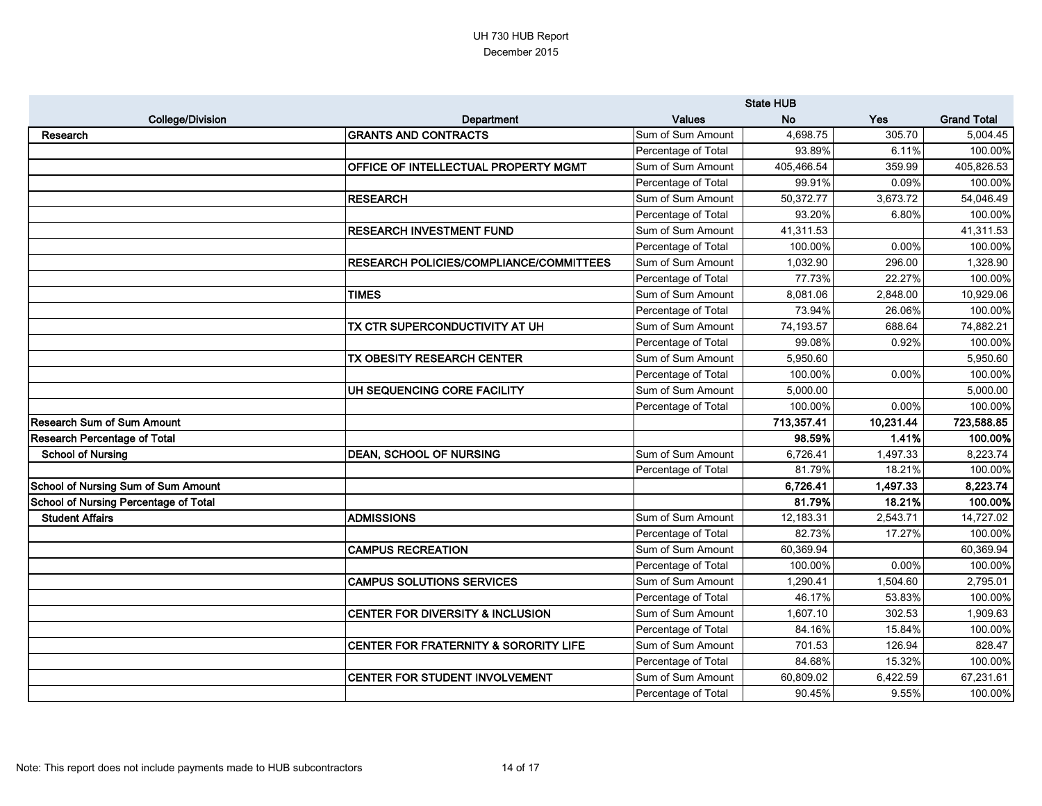|                                       |                                                | <b>State HUB</b>    |            |           |                    |
|---------------------------------------|------------------------------------------------|---------------------|------------|-----------|--------------------|
| <b>College/Division</b>               | Department                                     | <b>Values</b>       | <b>No</b>  | Yes       | <b>Grand Total</b> |
| Research                              | <b>GRANTS AND CONTRACTS</b>                    | Sum of Sum Amount   | 4,698.75   | 305.70    | 5,004.45           |
|                                       |                                                | Percentage of Total | 93.89%     | 6.11%     | 100.00%            |
|                                       | OFFICE OF INTELLECTUAL PROPERTY MGMT           | Sum of Sum Amount   | 405,466.54 | 359.99    | 405,826.53         |
|                                       |                                                | Percentage of Total | 99.91%     | 0.09%     | 100.00%            |
|                                       | <b>RESEARCH</b>                                | Sum of Sum Amount   | 50,372.77  | 3,673.72  | 54,046.49          |
|                                       |                                                | Percentage of Total | 93.20%     | 6.80%     | 100.00%            |
|                                       | <b>RESEARCH INVESTMENT FUND</b>                | Sum of Sum Amount   | 41,311.53  |           | 41,311.53          |
|                                       |                                                | Percentage of Total | 100.00%    | 0.00%     | 100.00%            |
|                                       | <b>RESEARCH POLICIES/COMPLIANCE/COMMITTEES</b> | Sum of Sum Amount   | 1,032.90   | 296.00    | 1,328.90           |
|                                       |                                                | Percentage of Total | 77.73%     | 22.27%    | 100.00%            |
|                                       | <b>TIMES</b>                                   | Sum of Sum Amount   | 8,081.06   | 2,848.00  | 10,929.06          |
|                                       |                                                | Percentage of Total | 73.94%     | 26.06%    | 100.00%            |
|                                       | <b>TX CTR SUPERCONDUCTIVITY AT UH</b>          | Sum of Sum Amount   | 74,193.57  | 688.64    | 74,882.21          |
|                                       |                                                | Percentage of Total | 99.08%     | 0.92%     | 100.00%            |
|                                       | TX OBESITY RESEARCH CENTER                     | Sum of Sum Amount   | 5,950.60   |           | 5,950.60           |
|                                       |                                                | Percentage of Total | 100.00%    | 0.00%     | 100.00%            |
|                                       | UH SEQUENCING CORE FACILITY                    | Sum of Sum Amount   | 5,000.00   |           | 5,000.00           |
|                                       |                                                | Percentage of Total | 100.00%    | 0.00%     | 100.00%            |
| Research Sum of Sum Amount            |                                                |                     | 713,357.41 | 10,231.44 | 723,588.85         |
| <b>Research Percentage of Total</b>   |                                                |                     | 98.59%     | 1.41%     | 100.00%            |
| <b>School of Nursing</b>              | <b>DEAN, SCHOOL OF NURSING</b>                 | Sum of Sum Amount   | 6,726.41   | 1,497.33  | 8,223.74           |
|                                       |                                                | Percentage of Total | 81.79%     | 18.21%    | 100.00%            |
| School of Nursing Sum of Sum Amount   |                                                |                     | 6,726.41   | 1,497.33  | 8,223.74           |
| School of Nursing Percentage of Total |                                                |                     | 81.79%     | 18.21%    | 100.00%            |
| <b>Student Affairs</b>                | <b>ADMISSIONS</b>                              | Sum of Sum Amount   | 12,183.31  | 2,543.71  | 14,727.02          |
|                                       |                                                | Percentage of Total | 82.73%     | 17.27%    | 100.00%            |
|                                       | <b>CAMPUS RECREATION</b>                       | Sum of Sum Amount   | 60,369.94  |           | 60,369.94          |
|                                       |                                                | Percentage of Total | 100.00%    | 0.00%     | 100.00%            |
|                                       | <b>CAMPUS SOLUTIONS SERVICES</b>               | Sum of Sum Amount   | 1,290.41   | 1,504.60  | 2,795.01           |
|                                       |                                                | Percentage of Total | 46.17%     | 53.83%    | 100.00%            |
|                                       | <b>CENTER FOR DIVERSITY &amp; INCLUSION</b>    | Sum of Sum Amount   | 1,607.10   | 302.53    | 1,909.63           |
|                                       |                                                | Percentage of Total | 84.16%     | 15.84%    | 100.00%            |
|                                       | CENTER FOR FRATERNITY & SORORITY LIFE          | Sum of Sum Amount   | 701.53     | 126.94    | 828.47             |
|                                       |                                                | Percentage of Total | 84.68%     | 15.32%    | 100.00%            |
|                                       | CENTER FOR STUDENT INVOLVEMENT                 | Sum of Sum Amount   | 60,809.02  | 6,422.59  | 67,231.61          |
|                                       |                                                | Percentage of Total | 90.45%     | 9.55%     | 100.00%            |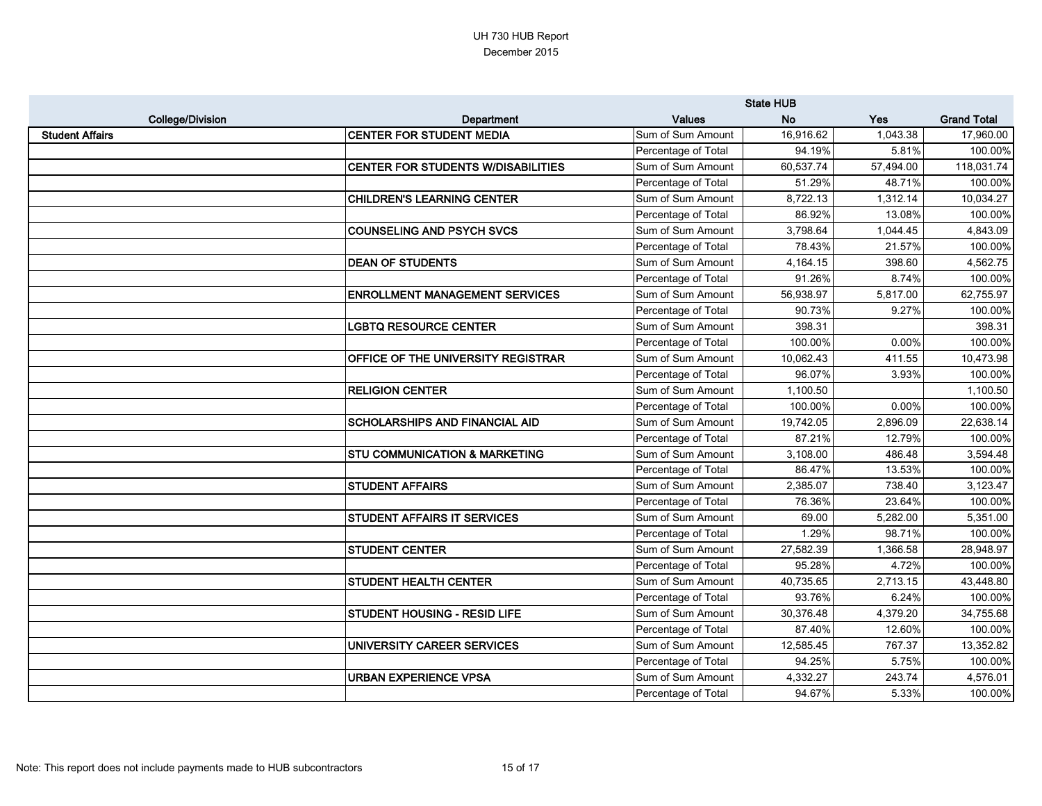|                         |                                           | <b>State HUB</b>    |           |           |                    |
|-------------------------|-------------------------------------------|---------------------|-----------|-----------|--------------------|
| <b>College/Division</b> | Department                                | <b>Values</b>       | <b>No</b> | Yes       | <b>Grand Total</b> |
| <b>Student Affairs</b>  | <b>CENTER FOR STUDENT MEDIA</b>           | Sum of Sum Amount   | 16,916.62 | 1,043.38  | 17,960.00          |
|                         |                                           | Percentage of Total | 94.19%    | 5.81%     | 100.00%            |
|                         | CENTER FOR STUDENTS W/DISABILITIES        | Sum of Sum Amount   | 60,537.74 | 57,494.00 | 118,031.74         |
|                         |                                           | Percentage of Total | 51.29%    | 48.71%    | 100.00%            |
|                         | <b>CHILDREN'S LEARNING CENTER</b>         | Sum of Sum Amount   | 8,722.13  | 1,312.14  | 10,034.27          |
|                         |                                           | Percentage of Total | 86.92%    | 13.08%    | 100.00%            |
|                         | <b>COUNSELING AND PSYCH SVCS</b>          | Sum of Sum Amount   | 3,798.64  | 1,044.45  | 4,843.09           |
|                         |                                           | Percentage of Total | 78.43%    | 21.57%    | 100.00%            |
|                         | <b>DEAN OF STUDENTS</b>                   | Sum of Sum Amount   | 4,164.15  | 398.60    | 4,562.75           |
|                         |                                           | Percentage of Total | 91.26%    | 8.74%     | 100.00%            |
|                         | <b>ENROLLMENT MANAGEMENT SERVICES</b>     | Sum of Sum Amount   | 56,938.97 | 5,817.00  | 62,755.97          |
|                         |                                           | Percentage of Total | 90.73%    | 9.27%     | 100.00%            |
|                         | <b>LGBTQ RESOURCE CENTER</b>              | Sum of Sum Amount   | 398.31    |           | 398.31             |
|                         |                                           | Percentage of Total | 100.00%   | 0.00%     | 100.00%            |
|                         | <b>OFFICE OF THE UNIVERSITY REGISTRAR</b> | Sum of Sum Amount   | 10,062.43 | 411.55    | 10,473.98          |
|                         |                                           | Percentage of Total | 96.07%    | 3.93%     | 100.00%            |
|                         | <b>RELIGION CENTER</b>                    | Sum of Sum Amount   | 1,100.50  |           | 1,100.50           |
|                         |                                           | Percentage of Total | 100.00%   | 0.00%     | 100.00%            |
|                         | <b>SCHOLARSHIPS AND FINANCIAL AID</b>     | Sum of Sum Amount   | 19,742.05 | 2,896.09  | 22,638.14          |
|                         |                                           | Percentage of Total | 87.21%    | 12.79%    | 100.00%            |
|                         | <b>STU COMMUNICATION &amp; MARKETING</b>  | Sum of Sum Amount   | 3,108.00  | 486.48    | 3,594.48           |
|                         |                                           | Percentage of Total | 86.47%    | 13.53%    | 100.00%            |
|                         | <b>STUDENT AFFAIRS</b>                    | Sum of Sum Amount   | 2,385.07  | 738.40    | 3,123.47           |
|                         |                                           | Percentage of Total | 76.36%    | 23.64%    | 100.00%            |
|                         | <b>STUDENT AFFAIRS IT SERVICES</b>        | Sum of Sum Amount   | 69.00     | 5,282.00  | 5,351.00           |
|                         |                                           | Percentage of Total | 1.29%     | 98.71%    | 100.00%            |
|                         | <b>STUDENT CENTER</b>                     | Sum of Sum Amount   | 27,582.39 | 1,366.58  | 28,948.97          |
|                         |                                           | Percentage of Total | 95.28%    | 4.72%     | 100.00%            |
|                         | <b>STUDENT HEALTH CENTER</b>              | Sum of Sum Amount   | 40,735.65 | 2,713.15  | 43,448.80          |
|                         |                                           | Percentage of Total | 93.76%    | 6.24%     | 100.00%            |
|                         | <b>STUDENT HOUSING - RESID LIFE</b>       | Sum of Sum Amount   | 30,376.48 | 4,379.20  | 34,755.68          |
|                         |                                           | Percentage of Total | 87.40%    | 12.60%    | 100.00%            |
|                         | UNIVERSITY CAREER SERVICES                | Sum of Sum Amount   | 12,585.45 | 767.37    | 13,352.82          |
|                         |                                           | Percentage of Total | 94.25%    | 5.75%     | 100.00%            |
|                         | URBAN EXPERIENCE VPSA                     | Sum of Sum Amount   | 4,332.27  | 243.74    | 4,576.01           |
|                         |                                           | Percentage of Total | 94.67%    | 5.33%     | 100.00%            |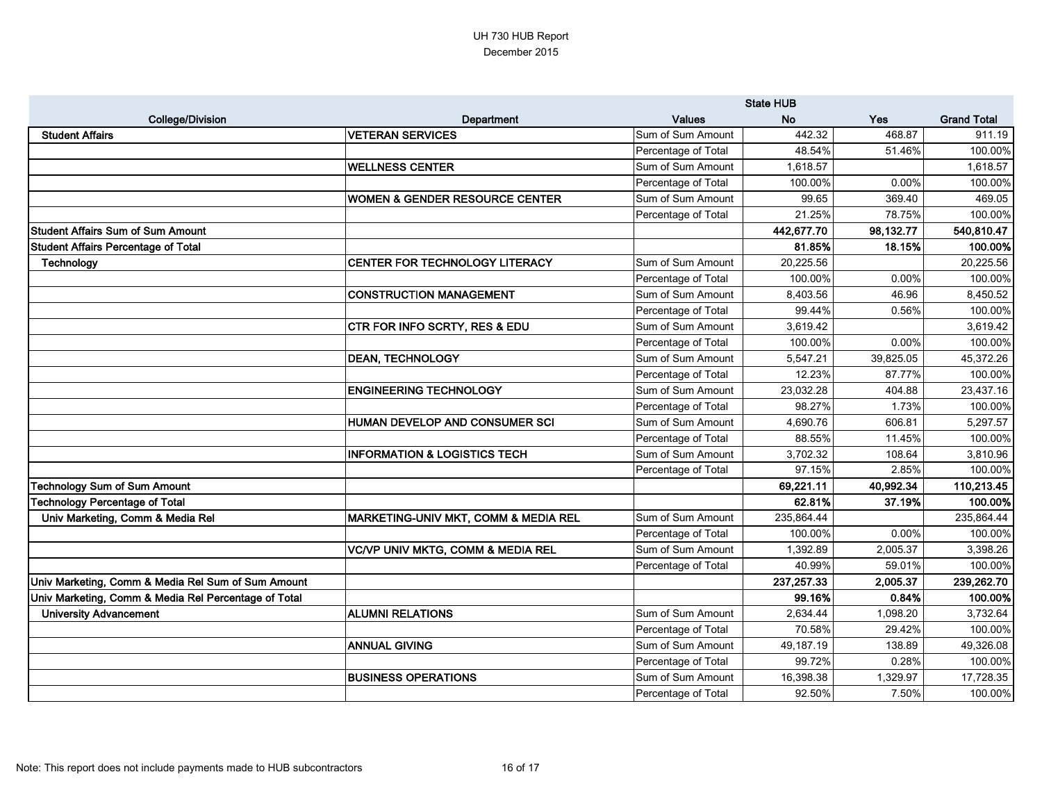|                                                      |                                              | <b>State HUB</b>    |            |           |                    |
|------------------------------------------------------|----------------------------------------------|---------------------|------------|-----------|--------------------|
| <b>College/Division</b>                              | Department                                   | <b>Values</b>       | <b>No</b>  | Yes       | <b>Grand Total</b> |
| <b>Student Affairs</b>                               | <b>VETERAN SERVICES</b>                      | Sum of Sum Amount   | 442.32     | 468.87    | 911.19             |
|                                                      |                                              | Percentage of Total | 48.54%     | 51.46%    | 100.00%            |
|                                                      | <b>WELLNESS CENTER</b>                       | Sum of Sum Amount   | 1,618.57   |           | 1,618.57           |
|                                                      |                                              | Percentage of Total | 100.00%    | 0.00%     | 100.00%            |
|                                                      | WOMEN & GENDER RESOURCE CENTER               | Sum of Sum Amount   | 99.65      | 369.40    | 469.05             |
|                                                      |                                              | Percentage of Total | 21.25%     | 78.75%    | 100.00%            |
| <b>Student Affairs Sum of Sum Amount</b>             |                                              |                     | 442,677.70 | 98,132.77 | 540,810.47         |
| <b>Student Affairs Percentage of Total</b>           |                                              |                     | 81.85%     | 18.15%    | 100.00%            |
| Technology                                           | CENTER FOR TECHNOLOGY LITERACY               | Sum of Sum Amount   | 20,225.56  |           | 20,225.56          |
|                                                      |                                              | Percentage of Total | 100.00%    | 0.00%     | 100.00%            |
|                                                      | <b>CONSTRUCTION MANAGEMENT</b>               | Sum of Sum Amount   | 8,403.56   | 46.96     | 8,450.52           |
|                                                      |                                              | Percentage of Total | 99.44%     | 0.56%     | 100.00%            |
|                                                      | <b>CTR FOR INFO SCRTY, RES &amp; EDU</b>     | Sum of Sum Amount   | 3,619.42   |           | 3,619.42           |
|                                                      |                                              | Percentage of Total | 100.00%    | 0.00%     | 100.00%            |
|                                                      | <b>DEAN, TECHNOLOGY</b>                      | Sum of Sum Amount   | 5,547.21   | 39,825.05 | 45,372.26          |
|                                                      |                                              | Percentage of Total | 12.23%     | 87.77%    | 100.00%            |
|                                                      | <b>ENGINEERING TECHNOLOGY</b>                | Sum of Sum Amount   | 23,032.28  | 404.88    | 23,437.16          |
|                                                      |                                              | Percentage of Total | 98.27%     | 1.73%     | 100.00%            |
|                                                      | HUMAN DEVELOP AND CONSUMER SCI               | Sum of Sum Amount   | 4,690.76   | 606.81    | 5,297.57           |
|                                                      |                                              | Percentage of Total | 88.55%     | 11.45%    | 100.00%            |
|                                                      | <b>INFORMATION &amp; LOGISTICS TECH</b>      | Sum of Sum Amount   | 3,702.32   | 108.64    | 3,810.96           |
|                                                      |                                              | Percentage of Total | 97.15%     | 2.85%     | 100.00%            |
| <b>Technology Sum of Sum Amount</b>                  |                                              |                     | 69,221.11  | 40,992.34 | 110,213.45         |
| <b>Technology Percentage of Total</b>                |                                              |                     | 62.81%     | 37.19%    | 100.00%            |
| Univ Marketing, Comm & Media Rel                     | MARKETING-UNIV MKT, COMM & MEDIA REL         | Sum of Sum Amount   | 235,864.44 |           | 235,864.44         |
|                                                      |                                              | Percentage of Total | 100.00%    | 0.00%     | 100.00%            |
|                                                      | <b>VC/VP UNIV MKTG, COMM &amp; MEDIA REL</b> | Sum of Sum Amount   | 1,392.89   | 2,005.37  | 3,398.26           |
|                                                      |                                              | Percentage of Total | 40.99%     | 59.01%    | 100.00%            |
| Univ Marketing, Comm & Media Rel Sum of Sum Amount   |                                              |                     | 237,257.33 | 2,005.37  | 239,262.70         |
| Univ Marketing, Comm & Media Rel Percentage of Total |                                              |                     | 99.16%     | 0.84%     | 100.00%            |
| <b>University Advancement</b>                        | <b>ALUMNI RELATIONS</b>                      | Sum of Sum Amount   | 2,634.44   | 1,098.20  | 3,732.64           |
|                                                      |                                              | Percentage of Total | 70.58%     | 29.42%    | 100.00%            |
|                                                      | <b>ANNUAL GIVING</b>                         | Sum of Sum Amount   | 49,187.19  | 138.89    | 49,326.08          |
|                                                      |                                              | Percentage of Total | 99.72%     | 0.28%     | 100.00%            |
|                                                      | <b>BUSINESS OPERATIONS</b>                   | Sum of Sum Amount   | 16,398.38  | 1,329.97  | 17,728.35          |
|                                                      |                                              | Percentage of Total | 92.50%     | 7.50%     | 100.00%            |